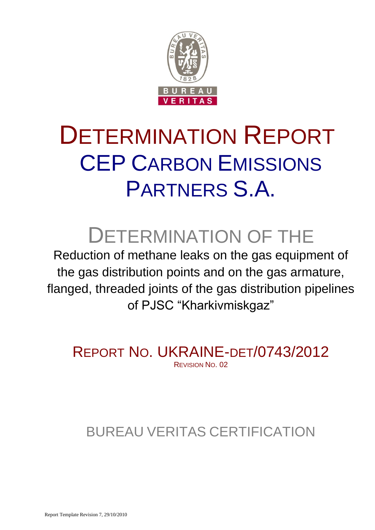

# DETERMINATION REPORT CEP CARBON EMISSIONS PARTNERS S.A.

# DETERMINATION OF THE

Reduction of methane leaks on the gas equipment of the gas distribution points and on the gas armature, flanged, threaded joints of the gas distribution pipelines of PJSC "Kharkivmiskgaz"

REPORT NO. UKRAINE-DET/0743/2012 REVISION NO. 02

# BUREAU VERITAS CERTIFICATION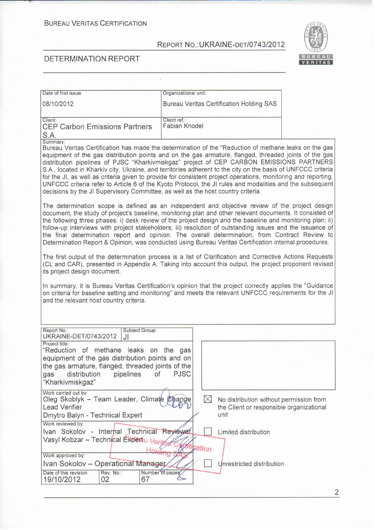ī,

Organizational unit:



### DETERMINATION REPORT

Date of first issue

| 08/10/2012                                                                                                                                                                                                                                                                                                                                                                                                                                                                                                                                                                                                                                                                                                                                              | <b>Bureau Veritas Certification Holding SAS</b> |                                                                                     |
|---------------------------------------------------------------------------------------------------------------------------------------------------------------------------------------------------------------------------------------------------------------------------------------------------------------------------------------------------------------------------------------------------------------------------------------------------------------------------------------------------------------------------------------------------------------------------------------------------------------------------------------------------------------------------------------------------------------------------------------------------------|-------------------------------------------------|-------------------------------------------------------------------------------------|
| Client:<br><b>CEP Carbon Emissions Partners</b><br>S.A.                                                                                                                                                                                                                                                                                                                                                                                                                                                                                                                                                                                                                                                                                                 | Client ref.:<br>Fabian Knodel                   |                                                                                     |
| Summary:<br>Bureau Veritas Certification has made the determination of the "Reduction of methane leaks on the gas<br>equipment of the gas distribution points and on the gas armature, flanged, threaded joints of the gas<br>distribution pipelines of PJSC "Kharkivmiskgaz" project of CEP CARBON EMISSIONS PARTNERS<br>S.A., located in Kharkiv city, Ukraine, and territories adherent to the city on the basis of UNFCCC criteria<br>for the JI, as well as criteria given to provide for consistent project operations, monitoring and reporting.<br>UNFCCC criteria refer to Article 6 of the Kyoto Protocol, the JI rules and modalities and the subsequent<br>decisions by the JI Supervisory Committee, as well as the host country criteria. |                                                 |                                                                                     |
| The determination scope is defined as an independent and objective review of the project design<br>document, the study of project's baseline, monitoring plan and other relevant documents. It consisted of<br>the following three phases: i) desk review of the project design and the baseline and monitoring plan; ii)<br>follow-up interviews with project stakeholders; iii) resolution of outstanding issues and the issuance of<br>the final determination report and opinion. The overall determination, from Contract Review to<br>Determination Report & Opinion, was conducted using Bureau Veritas Certification internal procedures.                                                                                                       |                                                 |                                                                                     |
| The first output of the determination process is a list of Clarification and Corrective Actions Requests<br>(CL and CAR), presented in Appendix A. Taking into account this output, the project proponent revised<br>its project design document.                                                                                                                                                                                                                                                                                                                                                                                                                                                                                                       |                                                 |                                                                                     |
| In summary, it is Bureau Veritas Certification's opinion that the project correctly applies the "Guidance<br>on criteria for baseline setting and monitoring" and meets the relevant UNFCCC requirements for the JI<br>and the relevant host country criteria.                                                                                                                                                                                                                                                                                                                                                                                                                                                                                          |                                                 |                                                                                     |
| Subject Group:<br>Report No.:<br>UKRAINE-DET/0743/2012<br>JI                                                                                                                                                                                                                                                                                                                                                                                                                                                                                                                                                                                                                                                                                            |                                                 |                                                                                     |
| Project title:<br>"Reduction of methane leaks on the gas<br>equipment of the gas distribution points and on<br>the gas armature, flanged, threaded joints of the<br>distribution<br>pipelines<br>of<br>gas<br>"Kharkivmiskgaz"                                                                                                                                                                                                                                                                                                                                                                                                                                                                                                                          | <b>PJSC</b>                                     |                                                                                     |
| Work carried out by:<br>Oleg Skoblyk - Team Leader, Climate Change<br><b>Lead Verifier</b><br>Dmytro Balyn - Technical Expert                                                                                                                                                                                                                                                                                                                                                                                                                                                                                                                                                                                                                           | $\boxtimes$<br>unit                             | No distribution without permission from<br>the Client or responsible organizational |
| Work reviewed by:<br>Ivan Sokolov - Internal Technical Reviewer<br>Vasyl Kobzar - Technical Expertu Verit<br>Work approved by:                                                                                                                                                                                                                                                                                                                                                                                                                                                                                                                                                                                                                          | fication                                        | Limited distribution                                                                |
| Ivan Sokolov - Operational Manager<br>Date of this revision:<br>Rev. No.:<br>19/10/2012<br>02<br>67                                                                                                                                                                                                                                                                                                                                                                                                                                                                                                                                                                                                                                                     | Number of pages                                 | Unrestricted distribution                                                           |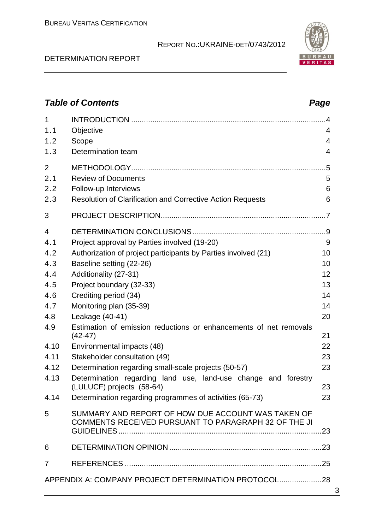### DETERMINATION REPORT

# *Table of Contents Page* 1 INTRODUCTION ............................................................................................4 1.1 Objective 4 1.2 Scope 4 1.3 Determination team 4 2 METHODOLOGY............................................................................................5 2.1 Review of Documents 5 2.2 Follow-up Interviews 6 2.3 Resolution of Clarification and Corrective Action Requests 6 3 PROJECT DESCRIPTION..............................................................................7 4 DETERMINATION CONCLUSIONS...............................................................9 4.1 Project approval by Parties involved (19-20) 9 4.2 Authorization of project participants by Parties involved (21) 10 4.3 Baseline setting (22-26) 10 4.4 Additionality (27-31) 12 4.5 Project boundary (32-33) 13 4.6 Crediting period (34) 14 4.7 Monitoring plan (35-39) 14 4.8 Leakage (40-41) 20 4.9 Estimation of emission reductions or enhancements of net removals (42-47) 21 4.10 Environmental impacts (48) 22 4.11 Stakeholder consultation (49) 23 4.12 Determination regarding small-scale projects (50-57) 23 4.13 Determination regarding land use, land-use change and forestry (LULUCF) projects (58-64) 23 4.14 Determination regarding programmes of activities (65-73) 23 5 SUMMARY AND REPORT OF HOW DUE ACCOUNT WAS TAKEN OF COMMENTS RECEIVED PURSUANT TO PARAGRAPH 32 OF THE JI GUIDELINES................................................................................................23 6 DETERMINATION OPINION ........................................................................23 7 REFERENCES .............................................................................................25 APPENDIX A: COMPANY PROJECT DETERMINATION PROTOCOL....................28

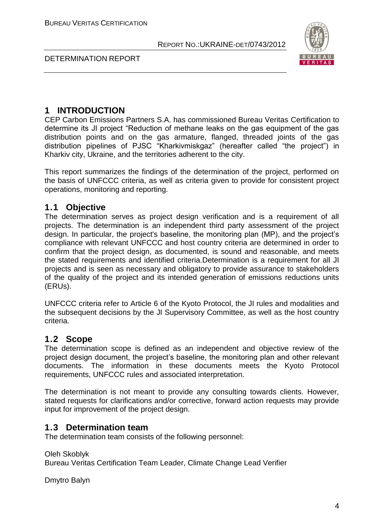

DETERMINATION REPORT

# **1 INTRODUCTION**

CEP Carbon Emissions Partners S.A. has commissioned Bureau Veritas Certification to determine its JI project "Reduction of methane leaks on the gas equipment of the gas distribution points and on the gas armature, flanged, threaded joints of the gas distribution pipelines of PJSC "Kharkivmiskgaz" (hereafter called "the project") in Kharkiv city, Ukraine, and the territories adherent to the city.

This report summarizes the findings of the determination of the project, performed on the basis of UNFCCC criteria, as well as criteria given to provide for consistent project operations, monitoring and reporting.

# **1.1 Objective**

The determination serves as project design verification and is a requirement of all projects. The determination is an independent third party assessment of the project design. In particular, the project's baseline, the monitoring plan (MP), and the project's compliance with relevant UNFCCC and host country criteria are determined in order to confirm that the project design, as documented, is sound and reasonable, and meets the stated requirements and identified criteria.Determination is a requirement for all JI projects and is seen as necessary and obligatory to provide assurance to stakeholders of the quality of the project and its intended generation of emissions reductions units (ERUs).

UNFCCC criteria refer to Article 6 of the Kyoto Protocol, the JI rules and modalities and the subsequent decisions by the JI Supervisory Committee, as well as the host country criteria.

# **1.2 Scope**

The determination scope is defined as an independent and objective review of the project design document, the project's baseline, the monitoring plan and other relevant documents. The information in these documents meets the Kyoto Protocol requirements, UNFCCC rules and associated interpretation.

The determination is not meant to provide any consulting towards clients. However, stated requests for clarifications and/or corrective, forward action requests may provide input for improvement of the project design.

# **1.3 Determination team**

The determination team consists of the following personnel:

Oleh Skoblyk

Bureau Veritas Certification Team Leader, Climate Change Lead Verifier

Dmytro Balyn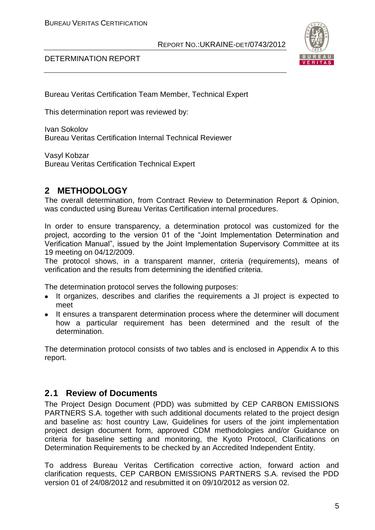

### DETERMINATION REPORT

Bureau Veritas Certification Team Member, Technical Expert

This determination report was reviewed by:

Ivan Sokolov Bureau Veritas Certification Internal Technical Reviewer

Vasyl Kobzar Bureau Veritas Certification Technical Expert

# **2 METHODOLOGY**

The overall determination, from Contract Review to Determination Report & Opinion, was conducted using Bureau Veritas Certification internal procedures.

In order to ensure transparency, a determination protocol was customized for the project, according to the version 01 of the "Joint Implementation Determination and Verification Manual", issued by the Joint Implementation Supervisory Committee at its 19 meeting on 04/12/2009.

The protocol shows, in a transparent manner, criteria (requirements), means of verification and the results from determining the identified criteria.

The determination protocol serves the following purposes:

- It organizes, describes and clarifies the requirements a JI project is expected to meet
- It ensures a transparent determination process where the determiner will document how a particular requirement has been determined and the result of the determination.

The determination protocol consists of two tables and is enclosed in Appendix A to this report.

# **2.1 Review of Documents**

The Project Design Document (PDD) was submitted by CEP CARBON EMISSIONS PARTNERS S.A. together with such additional documents related to the project design and baseline as: host country Law, Guidelines for users of the joint implementation project design document form, approved CDM methodologies and/or Guidance on criteria for baseline setting and monitoring, the Kyoto Protocol, Clarifications on Determination Requirements to be checked by an Accredited Independent Entity.

To address Bureau Veritas Certification corrective action, forward action and clarification requests, CEP CARBON EMISSIONS PARTNERS S.A. revised the PDD version 01 of 24/08/2012 and resubmitted it on 09/10/2012 as version 02.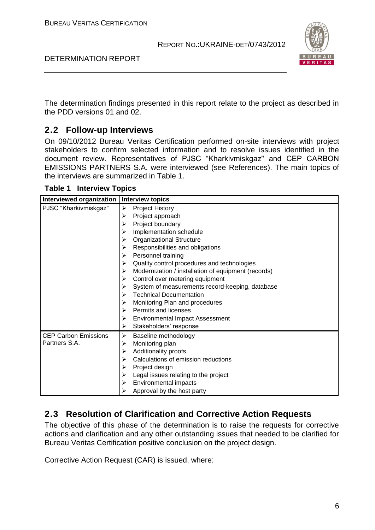

DETERMINATION REPORT

The determination findings presented in this report relate to the project as described in the PDD versions 01 and 02.

# **2.2 Follow-up Interviews**

On 09/10/2012 Bureau Veritas Certification performed on-site interviews with project stakeholders to confirm selected information and to resolve issues identified in the document review. Representatives of PJSC "Kharkivmiskgaz" and CEP CARBON EMISSIONS PARTNERS S.A. were interviewed (see References). The main topics of the interviews are summarized in Table 1.

**Table 1 Interview Topics**

| Interviewed organization  <br><b>Interview topics</b> |                                                          |
|-------------------------------------------------------|----------------------------------------------------------|
| PJSC "Kharkivmiskgaz"                                 | Project History<br>➤                                     |
|                                                       | Project approach<br>➤                                    |
|                                                       | Project boundary<br>⋗                                    |
|                                                       | Implementation schedule<br>⋗                             |
|                                                       | <b>Organizational Structure</b><br>➤                     |
|                                                       | Responsibilities and obligations<br>⋗                    |
|                                                       | Personnel training<br>⋗                                  |
|                                                       | Quality control procedures and technologies<br>➤         |
|                                                       | Modernization / installation of equipment (records)<br>≻ |
|                                                       | Control over metering equipment<br>≻                     |
|                                                       | System of measurements record-keeping, database<br>⋗     |
|                                                       | <b>Technical Documentation</b><br>⋗                      |
|                                                       | Monitoring Plan and procedures<br>⋗                      |
|                                                       | Permits and licenses<br>➤                                |
|                                                       | Environmental Impact Assessment<br>➤                     |
|                                                       | Stakeholders' response<br>➤                              |
| <b>CEP Carbon Emissions</b>                           | Baseline methodology<br>➤                                |
| Partners S.A.                                         | Monitoring plan<br>⋗                                     |
|                                                       | Additionality proofs<br>⋗                                |
|                                                       | Calculations of emission reductions<br>⋗                 |
|                                                       | Project design<br>⋗                                      |
|                                                       | Legal issues relating to the project<br>➤                |
|                                                       | Environmental impacts<br>➤                               |
|                                                       | Approval by the host party                               |

# **2.3 Resolution of Clarification and Corrective Action Requests**

The objective of this phase of the determination is to raise the requests for corrective actions and clarification and any other outstanding issues that needed to be clarified for Bureau Veritas Certification positive conclusion on the project design.

Corrective Action Request (CAR) is issued, where: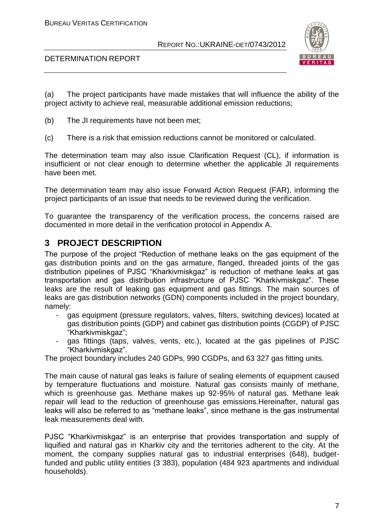

### DETERMINATION REPORT

(a) The project participants have made mistakes that will influence the ability of the project activity to achieve real, measurable additional emission reductions;

- (b) The JI requirements have not been met;
- (c) There is a risk that emission reductions cannot be monitored or calculated.

The determination team may also issue Clarification Request (CL), if information is insufficient or not clear enough to determine whether the applicable JI requirements have been met.

The determination team may also issue Forward Action Request (FAR), informing the project participants of an issue that needs to be reviewed during the verification.

To guarantee the transparency of the verification process, the concerns raised are documented in more detail in the verification protocol in Appendix A.

# **3 PROJECT DESCRIPTION**

The purpose of the project "Reduction of methane leaks on the gas equipment of the gas distribution points and on the gas armature, flanged, threaded joints of the gas distribution pipelines of PJSC "Kharkivmiskgaz" is reduction of methane leaks at gas transportation and gas distribution infrastructure of PJSC "Kharkivmiskgaz". These leaks are the result of leaking gas equipment and gas fittings. The main sources of leaks are gas distribution networks (GDN) components included in the project boundary, namely:

- gas equipment (pressure regulators, valves, filters, switching devices) located at gas distribution points (GDP) and cabinet gas distribution points (CGDP) of PJSC "Kharkivmiskgaz";
- gas fittings (taps, valves, vents, etc.), located at the gas pipelines of PJSC "Kharkivmiskgaz".

The project boundary includes 240 GDPs, 990 CGDPs, and 63 327 gas fitting units.

The main cause of natural gas leaks is failure of sealing elements of equipment caused by temperature fluctuations and moisture. Natural gas consists mainly of methane, which is greenhouse gas. Methane makes up 92-95% of natural gas. Methane leak repair will lead to the reduction of greenhouse gas emissions.Hereinafter, natural gas leaks will also be referred to as "methane leaks", since methane is the gas instrumental leak measurements deal with.

PJSC "Kharkivmiskgaz" is an enterprise that provides transportation and supply of liquified and natural gas in Kharkiv city and the territories adherent to the city. At the moment, the company supplies natural gas to industrial enterprises (648), budgetfunded and public utility entities (3 383), population (484 923 apartments and individual households).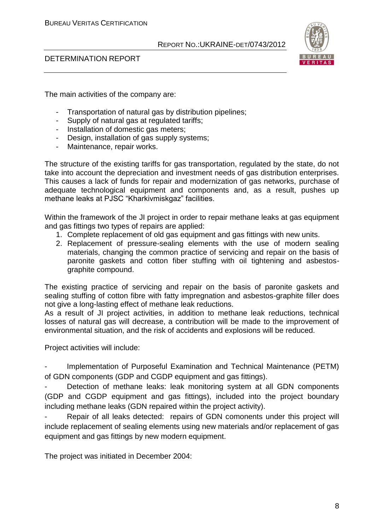

### DETERMINATION REPORT

The main activities of the company are:

- Transportation of natural gas by distribution pipelines;
- Supply of natural gas at regulated tariffs;
- Installation of domestic gas meters;
- Design, installation of gas supply systems;
- Maintenance, repair works.

The structure of the existing tariffs for gas transportation, regulated by the state, do not take into account the depreciation and investment needs of gas distribution enterprises. This causes a lack of funds for repair and modernization of gas networks, purchase of adequate technological equipment and components and, as a result, pushes up methane leaks at PJSC "Kharkivmiskgaz" facilities.

Within the framework of the JI project in order to repair methane leaks at gas equipment and gas fittings two types of repairs are applied:

- 1. Complete replacement of old gas equipment and gas fittings with new units.
- 2. Replacement of pressure-sealing elements with the use of modern sealing materials, changing the common practice of servicing and repair on the basis of paronite gaskets and cotton fiber stuffing with oil tightening and asbestosgraphite compound.

The existing practice of servicing and repair on the basis of paronite gaskets and sealing stuffing of cotton fibre with fatty impregnation and asbestos-graphite filler does not give a long-lasting effect of methane leak reductions.

As a result of JI project activities, in addition to methane leak reductions, technical losses of natural gas will decrease, a contribution will be made to the improvement of environmental situation, and the risk of accidents and explosions will be reduced.

Project activities will include:

Implementation of Purposeful Examination and Technical Maintenance (PETM) of GDN components (GDP and CGDP equipment and gas fittings).

Detection of methane leaks: leak monitoring system at all GDN components (GDP and CGDP equipment and gas fittings), included into the project boundary including methane leaks (GDN repaired within the project activity).

Repair of all leaks detected: repairs of GDN comonents under this project will include replacement of sealing elements using new materials and/or replacement of gas equipment and gas fittings by new modern equipment.

The project was initiated in December 2004: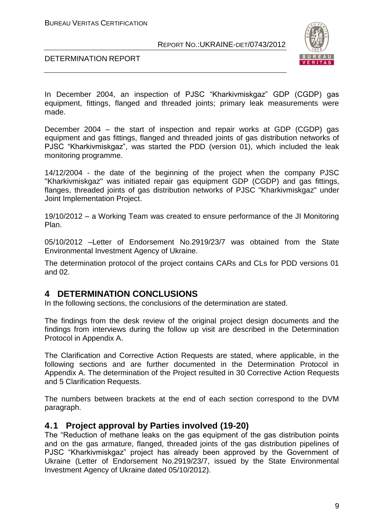

DETERMINATION REPORT

In December 2004, an inspection of PJSC "Kharkivmiskgaz" GDP (CGDP) gas equipment, fittings, flanged and threaded joints; primary leak measurements were made.

December 2004 – the start of inspection and repair works at GDP (CGDP) gas equipment and gas fittings, flanged and threaded joints of gas distribution networks of PJSC "Kharkivmiskgaz", was started the PDD (version 01), which included the leak monitoring programme.

14/12/2004 - the date of the beginning of the project when the company PJSC "Kharkivmiskgaz" was initiated repair gas equipment GDP (CGDP) and gas fittings, flanges, threaded joints of gas distribution networks of PJSC "Kharkivmiskgaz" under Joint Implementation Project.

19/10/2012 – a Working Team was created to ensure performance of the JI Monitoring Plan.

05/10/2012 –Letter of Endorsement No.2919/23/7 was obtained from the State Environmental Investment Agency of Ukraine.

The determination protocol of the project contains CARs and CLs for PDD versions 01 and 02.

# **4 DETERMINATION CONCLUSIONS**

In the following sections, the conclusions of the determination are stated.

The findings from the desk review of the original project design documents and the findings from interviews during the follow up visit are described in the Determination Protocol in Appendix A.

The Clarification and Corrective Action Requests are stated, where applicable, in the following sections and are further documented in the Determination Protocol in Appendix A. The determination of the Project resulted in 30 Corrective Action Requests and 5 Clarification Requests.

The numbers between brackets at the end of each section correspond to the DVM paragraph.

# **4.1 Project approval by Parties involved (19-20)**

The "Reduction of methane leaks on the gas equipment of the gas distribution points and on the gas armature, flanged, threaded joints of the gas distribution pipelines of PJSC "Kharkivmiskgaz" project has already been approved by the Government of Ukraine (Letter of Endorsement No.2919/23/7, issued by the State Environmental Investment Agency of Ukraine dated 05/10/2012).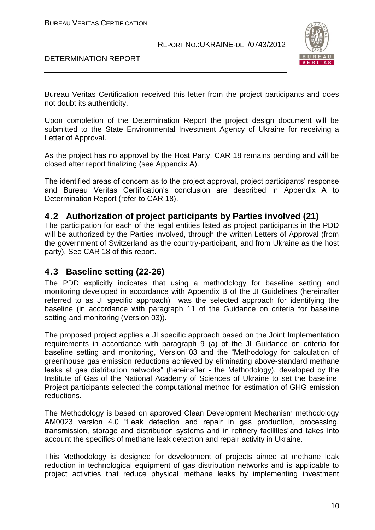

DETERMINATION REPORT

Bureau Veritas Certification received this letter from the project participants and does not doubt its authenticity.

Upon completion of the Determination Report the project design document will be submitted to the State Environmental Investment Agency of Ukraine for receiving a Letter of Approval.

As the project has no approval by the Host Party, CAR 18 remains pending and will be closed after report finalizing (see Appendix A).

The identified areas of concern as to the project approval, project participants' response and Bureau Veritas Certification's conclusion are described in Appendix A to Determination Report (refer to CAR 18).

# **4.2 Authorization of project participants by Parties involved (21)**

The participation for each of the legal entities listed as project participants in the PDD will be authorized by the Parties involved, through the written Letters of Approval (from the government of Switzerland as the country-participant, and from Ukraine as the host party). See CAR 18 of this report.

# **4.3 Baseline setting (22-26)**

The PDD explicitly indicates that using a methodology for baseline setting and monitoring developed in accordance with Appendix B of the JI Guidelines (hereinafter referred to as JI specific approach) was the selected approach for identifying the baseline (in accordance with paragraph 11 of the Guidance on criteria for baseline setting and monitoring (Version 03)).

The proposed project applies a JI specific approach based on the Joint Implementation requirements in accordance with paragraph 9 (a) of the JI Guidance on criteria for baseline setting and monitoring, Version 03 and the "Methodology for calculation of greenhouse gas emission reductions achieved by eliminating above-standard methane leaks at gas distribution networks" (hereinafter - the Methodology), developed by the Institute of Gas of the National Academy of Sciences of Ukraine to set the baseline. Project participants selected the computational method for estimation of GHG emission reductions.

The Methodology is based on approved Clean Development Mechanism methodology AM0023 version 4.0 "Leak detection and repair in gas production, processing, transmission, storage and distribution systems and in refinery facilities"and takes into account the specifics of methane leak detection and repair activity in Ukraine.

This Methodology is designed for development of projects aimed at methane leak reduction in technological equipment of gas distribution networks and is applicable to project activities that reduce physical methane leaks by implementing investment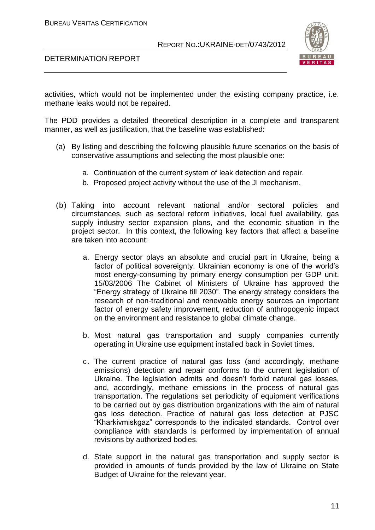DETERMINATION REPORT



activities, which would not be implemented under the existing company practice, i.e. methane leaks would not be repaired.

The PDD provides a detailed theoretical description in a complete and transparent manner, as well as justification, that the baseline was established:

- (a) By listing and describing the following plausible future scenarios on the basis of conservative assumptions and selecting the most plausible one:
	- a. Continuation of the current system of leak detection and repair.
	- b. Proposed project activity without the use of the JI mechanism.
- (b) Taking into account relevant national and/or sectoral policies and circumstances, such as sectoral reform initiatives, local fuel availability, gas supply industry sector expansion plans, and the economic situation in the project sector. In this context, the following key factors that affect a baseline are taken into account:
	- a. Energy sector plays an absolute and crucial part in Ukraine, being a factor of political sovereignty. Ukrainian economy is one of the world's most energy-consuming by primary energy consumption per GDP unit. 15/03/2006 The Cabinet of Ministers of Ukraine has approved the "Energy strategy of Ukraine till 2030". The energy strategy considers the research of non-traditional and renewable energy sources an important factor of energy safety improvement, reduction of anthropogenic impact on the environment and resistance to global climate change.
	- b. Most natural gas transportation and supply companies currently operating in Ukraine use equipment installed back in Soviet times.
	- c. The current practice of natural gas loss (and accordingly, methane emissions) detection and repair conforms to the current legislation of Ukraine. The legislation admits and doesn't forbid natural gas losses, and, accordingly, methane emissions in the process of natural gas transportation. The regulations set periodicity of equipment verifications to be carried out by gas distribution organizations with the aim of natural gas loss detection. Practice of natural gas loss detection at PJSC "Kharkivmiskgaz" corresponds to the indicated standards. Control over compliance with standards is performed by implementation of annual revisions by authorized bodies.
	- d. State support in the natural gas transportation and supply sector is provided in amounts of funds provided by the law of Ukraine on State Budget of Ukraine for the relevant year.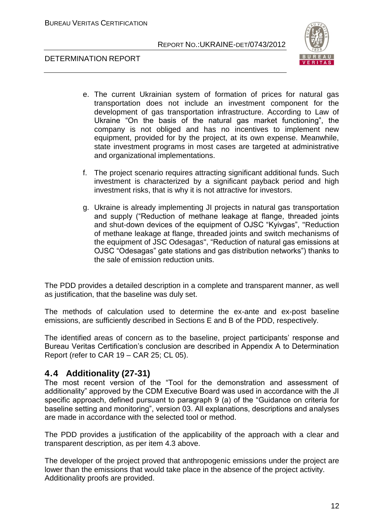BUREAU VERITAS CERTIFICATION

### REPORT NO.:UKRAINE-DET/0743/2012



DETERMINATION REPORT

- e. The current Ukrainian system of formation of prices for natural gas transportation does not include an investment component for the development of gas transportation infrastructure. According to Law of Ukraine "On the basis of the natural gas market functioning", the company is not obliged and has no incentives to implement new equipment, provided for by the project, at its own expense. Meanwhile, state investment programs in most cases are targeted at administrative and organizational implementations.
- f. The project scenario requires attracting significant additional funds. Such investment is characterized by a significant payback period and high investment risks, that is why it is not attractive for investors.
- g. Ukraine is already implementing JI projects in natural gas transportation and supply ("Reduction of methane leakage at flange, threaded joints and shut-down devices of the equipment of OJSC "Kyivgas", "Reduction of methane leakage at flange, threaded joints and switch mechanisms of the equipment of JSC Odesagas", "Reduction of natural gas emissions at OJSC "Odesagas" gate stations and gas distribution networks") thanks to the sale of emission reduction units.

The PDD provides a detailed description in a complete and transparent manner, as well as justification, that the baseline was duly set.

The methods of calculation used to determine the ex-ante and ex-post baseline emissions, are sufficiently described in Sections E and B of the PDD, respectively.

The identified areas of concern as to the baseline, project participants' response and Bureau Veritas Certification's conclusion are described in Appendix A to Determination Report (refer to CAR 19 – CAR 25; CL 05).

# **4.4 Additionality (27-31)**

The most recent version of the "Tool for the demonstration and assessment of additionality" approved by the CDM Executive Board was used in accordance with the JI specific approach, defined pursuant to paragraph 9 (a) of the "Guidance on criteria for baseline setting and monitoring", version 03. All explanations, descriptions and analyses are made in accordance with the selected tool or method.

The PDD provides a justification of the applicability of the approach with a clear and transparent description, as per item 4.3 above.

The developer of the project proved that anthropogenic emissions under the project are lower than the emissions that would take place in the absence of the project activity. Additionality proofs are provided.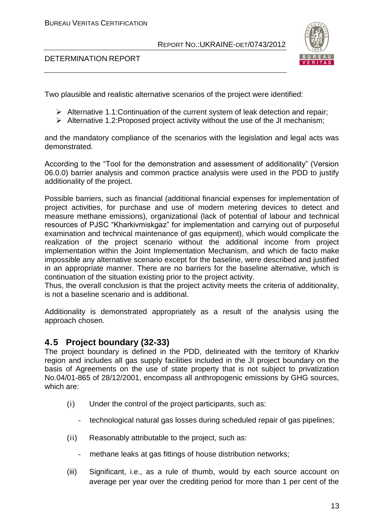



Two plausible and realistic alternative scenarios of the project were identified:

- $\triangleright$  Alternative 1.1: Continuation of the current system of leak detection and repair;
- $\triangleright$  Alternative 1.2: Proposed project activity without the use of the JI mechanism;

and the mandatory compliance of the scenarios with the legislation and legal acts was demonstrated.

According to the "Tool for the demonstration and assessment of additionality" (Version 06.0.0) barrier analysis and common practice analysis were used in the PDD to justify additionality of the project.

Possible barriers, such as financial (additional financial expenses for implementation of project activities, for purchase and use of modern metering devices to detect and measure methane emissions), organizational (lack of potential of labour and technical resources of PJSC "Kharkivmiskgaz" for implementation and carrying out of purposeful examination and technical maintenance of gas equipment), which would complicate the realization of the project scenario without the additional income from project implementation within the Joint Implementation Mechanism, and which de facto make impossible any alternative scenario except for the baseline, were described and justified in an appropriate manner. There are no barriers for the baseline alternative, which is continuation of the situation existing prior to the project activity.

Thus, the overall conclusion is that the project activity meets the criteria of additionality, is not a baseline scenario and is additional.

Additionality is demonstrated appropriately as a result of the analysis using the approach chosen.

# **4.5 Project boundary (32-33)**

The project boundary is defined in the PDD, delineated with the territory of Kharkiv region and includes all gas supply facilities included in the JI project boundary on the basis of Agreements on the use of state property that is not subject to privatization No.04/01-865 of 28/12/2001, encompass all anthropogenic emissions by GHG sources, which are:

- (i) Under the control of the project participants, such as:
	- technological natural gas losses during scheduled repair of gas pipelines;
- (ii) Reasonably attributable to the project, such as:
	- methane leaks at gas fittings of house distribution networks;
- (iii) Significant, i.e., as a rule of thumb, would by each source account on average per year over the crediting period for more than 1 per cent of the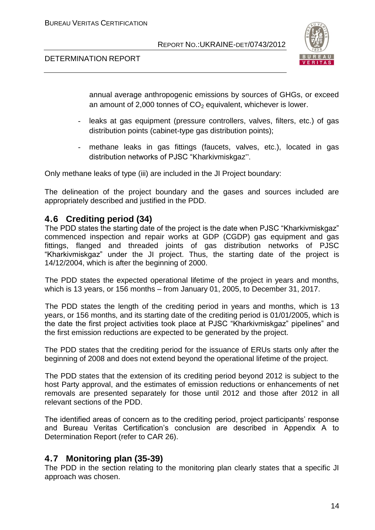



annual average anthropogenic emissions by sources of GHGs, or exceed an amount of 2,000 tonnes of  $CO<sub>2</sub>$  equivalent, whichever is lower.

- *-* leaks at gas equipment (pressure controllers, valves, filters, etc.) of gas distribution points (cabinet-type gas distribution points);
- methane leaks in gas fittings (faucets, valves, etc.), located in gas distribution networks of PJSC "Kharkivmiskgaz".

Only methane leaks of type (iii) are included in the JI Project boundary:

The delineation of the project boundary and the gases and sources included are appropriately described and justified in the PDD.

# **4.6 Crediting period (34)**

The PDD states the starting date of the project is the date when PJSC "Kharkivmiskgaz" commenced inspection and repair works at GDP (CGDP) gas equipment and gas fittings, flanged and threaded joints of gas distribution networks of PJSC "Kharkivmiskgaz" under the JI project. Thus, the starting date of the project is 14/12/2004, which is after the beginning of 2000.

The PDD states the expected operational lifetime of the project in years and months, which is 13 years, or 156 months – from January 01, 2005, to December 31, 2017.

The PDD states the length of the crediting period in years and months, which is 13 years, or 156 months, and its starting date of the crediting period is 01/01/2005, which is the date the first project activities took place at PJSC "Kharkivmiskgaz" pipelines" and the first emission reductions are expected to be generated by the project.

The PDD states that the crediting period for the issuance of ERUs starts only after the beginning of 2008 and does not extend beyond the operational lifetime of the project.

The PDD states that the extension of its crediting period beyond 2012 is subject to the host Party approval, and the estimates of emission reductions or enhancements of net removals are presented separately for those until 2012 and those after 2012 in all relevant sections of the PDD.

The identified areas of concern as to the crediting period, project participants' response and Bureau Veritas Certification's conclusion are described in Appendix A to Determination Report (refer to CAR 26).

# **4.7 Monitoring plan (35-39)**

The PDD in the section relating to the monitoring plan clearly states that a specific JI approach was chosen.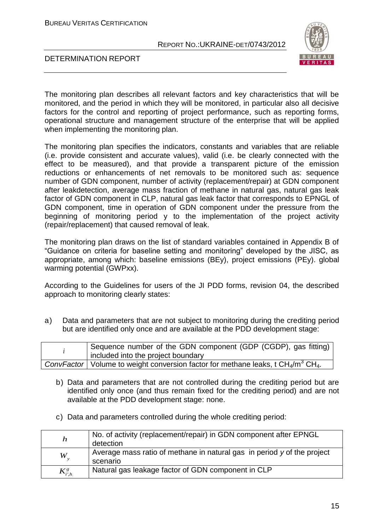BUREAU VERITAS CERTIFICATION

### REPORT NO.:UKRAINE-DET/0743/2012



DETERMINATION REPORT

The monitoring plan describes all relevant factors and key characteristics that will be monitored, and the period in which they will be monitored, in particular also all decisive factors for the control and reporting of project performance, such as reporting forms, operational structure and management structure of the enterprise that will be applied when implementing the monitoring plan.

The monitoring plan specifies the indicators, constants and variables that are reliable (i.e. provide consistent and accurate values), valid (i.e. be clearly connected with the effect to be measured), and that provide a transparent picture of the emission reductions or enhancements of net removals to be monitored such as: sequence number of GDN component, number of activity (replacement/repair) at GDN component after leakdetection, average mass fraction of methane in natural gas, natural gas leak factor of GDN component in CLP, natural gas leak factor that corresponds to EPNGL of GDN component, time in operation of GDN component under the pressure from the beginning of monitoring period y to the implementation of the project activity (repair/replacement) that caused removal of leak.

The monitoring plan draws on the list of standard variables contained in Appendix B of "Guidance on criteria for baseline setting and monitoring" developed by the JISC, as appropriate, among which: baseline emissions (BEy), project emissions (PEy). global warming potential (GWPxx).

According to the Guidelines for users of the JI PDD forms, revision 04, the described approach to monitoring clearly states:

a) Data and parameters that are not subject to monitoring during the crediting period but are identified only once and are available at the PDD development stage:

| Sequence number of the GDN component (GDP (CGDP), gas fitting)<br>included into the project boundary                                |  |  |
|-------------------------------------------------------------------------------------------------------------------------------------|--|--|
| ConvFactor   Volume to weight conversion factor for methane leaks, $\overline{t}$ CH <sub>4</sub> /m <sup>3</sup> CH <sub>4</sub> . |  |  |

- b) Data and parameters that are not controlled during the crediting period but are identified only once (and thus remain fixed for the crediting period) and are not available at the PDD development stage: none.
- c) Data and parameters controlled during the whole crediting period:

| $\boldsymbol{h}$ | No. of activity (replacement/repair) in GDN component after EPNGL<br>detection      |
|------------------|-------------------------------------------------------------------------------------|
| $W_{\rm v}$      | Average mass ratio of methane in natural gas in period y of the project<br>scenario |
| $K^{g}_{i',h}$   | Natural gas leakage factor of GDN component in CLP                                  |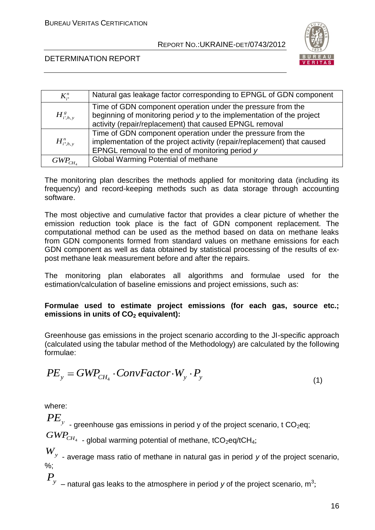

# DETERMINATION REPORT

| $K_{n}^{n}$       | Natural gas leakage factor corresponding to EPNGL of GDN component                                                                                                                              |
|-------------------|-------------------------------------------------------------------------------------------------------------------------------------------------------------------------------------------------|
| $H^s_{i',h,v}$    | Time of GDN component operation under the pressure from the<br>beginning of monitoring period y to the implementation of the project<br>activity (repair/replacement) that caused EPNGL removal |
| $H_{i^*,h,\nu}^n$ | Time of GDN component operation under the pressure from the<br>implementation of the project activity (repair/replacement) that caused<br>EPNGL removal to the end of monitoring period y       |
| $GWP_{CH}$        | Global Warming Potential of methane                                                                                                                                                             |

The monitoring plan describes the methods applied for monitoring data (including its frequency) and record-keeping methods such as data storage through accounting software.

The most objective and cumulative factor that provides a clear picture of whether the emission reduction took place is the fact of GDN component replacement. The computational method can be used as the method based on data on methane leaks from GDN components formed from standard values on methane emissions for each GDN component as well as data obtained by statistical processing of the results of expost methane leak measurement before and after the repairs.

The monitoring plan elaborates all algorithms and formulae used for the estimation/calculation of baseline emissions and project emissions, such as:

# **Formulae used to estimate project emissions (for each gas, source etc.; emissions in units of CO<sup>2</sup> equivalent):**

Greenhouse gas emissions in the project scenario according to the JI-specific approach (calculated using the tabular method of the Methodology) are calculated by the following formulae:

$$
PE_{y} = GWP_{CH_{4}} \cdot ConvFactor \cdot W_{y} \cdot P_{y}
$$
\n(1)

where:

 $PE_{_{{\rm {\cal Y}}}}$  <sub>- greenhouse gas emissions in period y of the project scenario, t CO<sub>2</sub>eq;</sub>

 $GWP_{\scriptscriptstyle CH_4}$  <sub>-</sub> global warming potential of methane, tCO<sub>2</sub>eq/tCH<sub>4</sub>;

*Wy* - average mass ratio of methane in natural gas in period *y* of the project scenario, %;

 $\overline{P}_y$  <sub>–</sub> natural gas leaks to the atmosphere in period *y* of the project scenario, m<sup>3</sup>;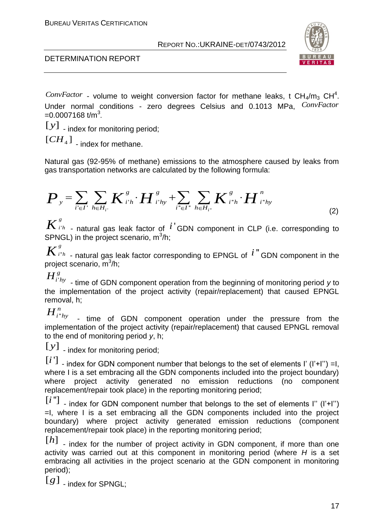



ConvFactor - volume to weight conversion factor for methane leaks, t CH<sub>4</sub>/m<sub>3</sub> CH<sup>4</sup>. Under normal conditions - zero degrees Celsius and 0.1013 MPa, *ConvFactor*  $=$  0.0007168 t/m<sup>3</sup>.

[ $y$ ] . index for monitoring period;

 $[CH<sub>4</sub>]$  - index for methane.

gas transportation networks are calculated by the following formula:

Natural gas (92-95% of methane) emissions to the atmosphere caused by leaks from gas transportation networks are calculated by the following formula:\n
$$
P_y = \sum_{i' \in I'} \sum_{h \in H_{i'}} K_{i'h}^s \cdot H_{i'hy}^s + \sum_{i'' \in I'} \sum_{h \in H_{i'}} K_{i'h}^s \cdot H_{i''hy}^n \tag{2}
$$

'  $K^{s}_{i^{\prime}{}^{h}}$  <sub>-</sub> natural gas leak factor of  $\,i^{\,\prime}$ GDN component in CLP (i.e. corresponding to SPNGL) in the project scenario, m<sup>3</sup>/h;

''  $K^{^{\,g}_{i^*h}}$  - natural gas leak factor corresponding to EPNGL of  $^{\,\,i\,\,}$  GDN component in the project scenario, m<sup>3</sup>/h;

'  $H_{i^{\prime}h y}^{g}$  <sub>-</sub> time of GDN component operation from the beginning of monitoring period *y* to the implementation of the project activity (repair/replacement) that caused EPNGL removal, h;

 $H^n_{i^*}$ 

'' - time of GDN component operation under the pressure from the implementation of the project activity (repair/replacement) that caused EPNGL removal to the end of monitoring period *y*, h;

[y] - index for monitoring period;

 $[i]$  - index for GDN component number that belongs to the set of elements I' (I'+I'') =I, where I is a set embracing all the GDN components included into the project boundary) where project activity generated no emission reductions (no component replacement/repair took place) in the reporting monitoring period;

ConvErator - volume to weight conversion factor for methane leaks, t CH<sub>4</sub>/m<sub>3</sub> CH<sup>4</sup>,<br>
Cludar normal conditions - zero degrees Celsius and 0.1013 MPa<sub>c</sub>. *ConvErator*<br>
17  $\frac{1}{2}$  index for monitoing period;<br>
17  $\frac{1}{2}$  $[i'']$  - index for GDN component number that belongs to the set of elements I" (I'+I") =I, where I is a set embracing all the GDN components included into the project boundary) where project activity generated emission reductions (component replacement/repair took place) in the reporting monitoring period;

 $[h]$  - index for the number of project activity in GDN component, if more than one activity was carried out at this component in monitoring period (where *H* is a set embracing all activities in the project scenario at the GDN component in monitoring period);

 $[g]$   $\overline{g}$   $\overline{g}$   $\overline{g}$   $\overline{g}$   $\overline{g}$   $\overline{g}$   $\overline{g}$   $\overline{g}$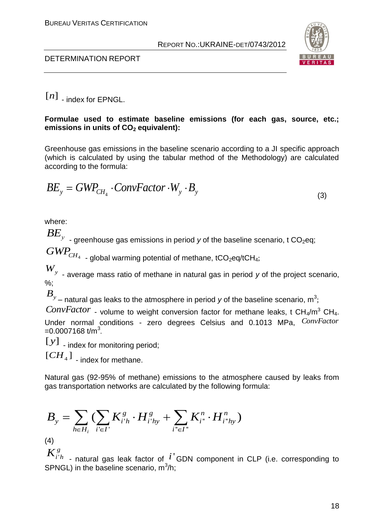



 $[n]$  - index for EPNGL.

### **Formulae used to estimate baseline emissions (for each gas, source, etc.; emissions in units of CO<sup>2</sup> equivalent):**

Greenhouse gas emissions in the baseline scenario according to a JI specific approach (which is calculated by using the tabular method of the Methodology) are calculated according to the formula:

$$
BE_{y} = GWP_{CH_{4}} \cdot ConvFactor \cdot W_{y} \cdot B_{y}
$$
\n(3)

where:

 $\overline{BE}_y$   $\,$  - greenhouse gas emissions in period *y* of the baseline scenario, t CO $_2$ eq;

 $GWP_{CH_4}$ 

- global warming potential of methane, tCO<sub>2</sub>eq/tCH<sub>4</sub>;

*Wy* - average mass ratio of methane in natural gas in period *y* of the project scenario, %;

 $\overline{B}_y$  – natural gas leaks to the atmosphere in period *y* of the baseline scenario, m<sup>3</sup>;

[*n*] - index for EPNGL.<br>
Formulae used to estimate baseline emissions (for each gas, source, etc.;<br>
emissions in units of Co<sub>2</sub> equivalent):<br>
Chromhous gas amissions in the baseline sconario according to a Jl specific ap *ConvFactor* - volume to weight conversion factor for methane leaks, t CH<sub>4</sub>/m<sup>3</sup> CH<sub>4</sub>. Under normal conditions - zero degrees Celsius and 0.1013 MPa, *ConvFactor*  $=$  0.0007168 t/m<sup>3</sup>.

[ $y$ ] . index for monitoring period;

 $[CH<sub>4</sub>]$  - index for methane.

Natural gas (92-95% of methane) emissions to the atmosphere caused by leaks from gas transportation networks are calculated by the following formula:

$$
B_{y} = \sum_{h \in H_{i}} \left( \sum_{i' \in I'} K_{i'h}^{g} \cdot H_{i'hy}^{g} + \sum_{i'' \in I''} K_{i''}^{n} \cdot H_{i''hy}^{n} \right)
$$

 $(4)$ 

*g*

 $K^g_{i'h}$  <sub>-</sub> natural gas leak factor of  $i'$  GDN component in CLP (i.e. corresponding to SPNGL) in the baseline scenario,  $m^3/h$ ;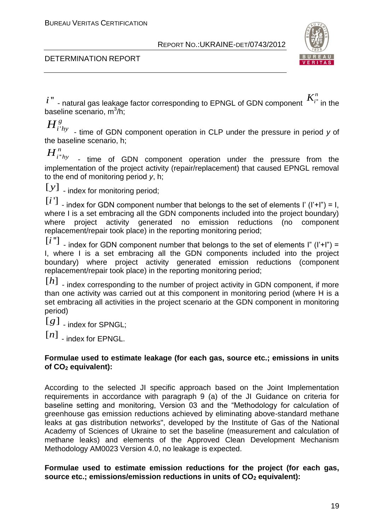

# DETERMINATION REPORT

- natural gas leakage factor corresponding to EPNGL of GDN component  $\mathbf{f}^{*i}$  $K_{i}^n$  in the baseline scenario, m<sup>3</sup>/h;

'  $H^{g}_{i'hy}$  <sub>-</sub> time of GDN component operation in CLP under the pressure in period *y* of the baseline scenario, h;

''  ${H}^{\,n}_{i^*h y}$  <sub>-</sub> time of GDN component operation under the pressure from the implementation of the project activity (repair/replacement) that caused EPNGL removal to the end of monitoring period *y*, h;

[ $y$ ] - index for monitoring period;

 $[i]$  - index for GDN component number that belongs to the set of elements I' (I'+I") = I, where I is a set embracing all the GDN components included into the project boundary) where project activity generated no emission reductions (no component replacement/repair took place) in the reporting monitoring period;

 $[i'']$  - index for GDN component number that belongs to the set of elements I" (I'+I") = I, where I is a set embracing all the GDN components included into the project boundary) where project activity generated emission reductions (component replacement/repair took place) in the reporting monitoring period;

 $[h]$   $\blacksquare$  - index corresponding to the number of project activity in GDN component, if more than one activity was carried out at this component in monitoring period (where H is a set embracing all activities in the project scenario at the GDN component in monitoring period)

 $[g]$   $\overline{g}$   $\overline{g}$   $\overline{g}$   $\overline{g}$   $\overline{g}$   $\overline{g}$   $\overline{g}$   $\overline{g}$ 

 $[n]$  - index for EPNGL.

# **Formulae used to estimate leakage (for each gas, source etc.; emissions in units of CO<sup>2</sup> equivalent):**

 $t^*$  - natural gas leadage factor corresponding to EPNGL of GDN component  $K_i$ ; in the<br>osseline scenario, m<sup>3</sup>*h*;<br> $H_i^S_{i_1j_2}$  - time of GDN component operation in CLP under the pressure in period y of<br>the baseline sc According to the selected JI specific approach based on the Joint Implementation requirements in accordance with paragraph 9 (a) of the JI Guidance on criteria for baseline setting and monitoring, Version 03 and the "Methodology for calculation of greenhouse gas emission reductions achieved by eliminating above-standard methane leaks at gas distribution networks", developed by the Institute of Gas of the National Academy of Sciences of Ukraine to set the baseline (measurement and calculation of methane leaks) and elements of the Approved Clean Development Mechanism Methodology AM0023 Version 4.0, no leakage is expected.

# **Formulae used to estimate emission reductions for the project (for each gas, source etc.; emissions/emission reductions in units of CO<sup>2</sup> equivalent):**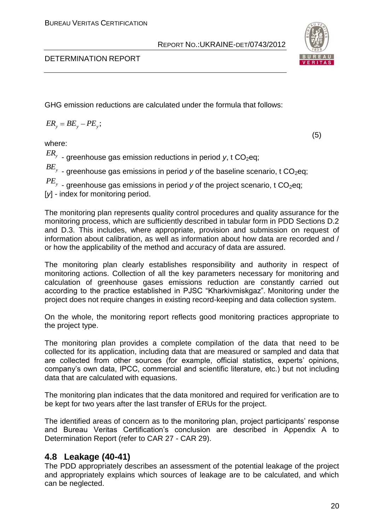

(5)

### DETERMINATION REPORT

GHG emission reductions are calculated under the formula that follows:

$$
ER_{y} = BE_{y} - PE_{y};
$$

where:

 $\emph{ER}_y$  <sub>-</sub> greenhouse gas emission reductions in period *y*, t CO<sub>2</sub>eq;  $B\!E_{_y}$  - greenhouse gas emissions in period *y* of the baseline scenario, t CO<sub>2</sub>eq;  $PE_{\tiny y}$  - greenhouse gas emissions in period *y* of the project scenario, t CO<sub>2</sub>eq; [y] - index for monitoring period.

The monitoring plan represents quality control procedures and quality assurance for the monitoring process, which are sufficiently described in tabular form in PDD Sections D.2 and D.3. This includes, where appropriate, provision and submission on request of information about calibration, as well as information about how data are recorded and / or how the applicability of the method and accuracy of data are assured.

The monitoring plan clearly establishes responsibility and authority in respect of monitoring actions. Collection of all the key parameters necessary for monitoring and calculation of greenhouse gases emissions reduction are constantly carried out according to the practice established in PJSC "Kharkivmiskgaz". Monitoring under the project does not require changes in existing record-keeping and data collection system.

On the whole, the monitoring report reflects good monitoring practices appropriate to the project type.

The monitoring plan provides a complete compilation of the data that need to be collected for its application, including data that are measured or sampled and data that are collected from other sources (for example, official statistics, experts' opinions, company's own data, IPCC, commercial and scientific literature, etc.) but not including data that are calculated with equasions.

The monitoring plan indicates that the data monitored and required for verification are to be kept for two years after the last transfer of ERUs for the project.

The identified areas of concern as to the monitoring plan, project participants' response and Bureau Veritas Certification's conclusion are described in Appendix A to Determination Report (refer to CAR 27 - CAR 29).

# **4.8 Leakage (40-41)**

The PDD appropriately describes an assessment of the potential leakage of the project and appropriately explains which sources of leakage are to be calculated, and which can be neglected.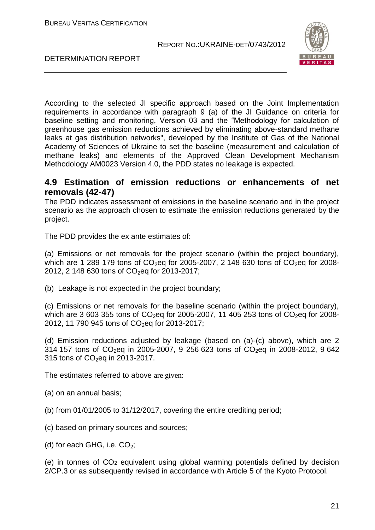

DETERMINATION REPORT

According to the selected JI specific approach based on the Joint Implementation requirements in accordance with paragraph 9 (a) of the JI Guidance on criteria for baseline setting and monitoring, Version 03 and the "Methodology for calculation of greenhouse gas emission reductions achieved by eliminating above-standard methane leaks at gas distribution networks", developed by the Institute of Gas of the National Academy of Sciences of Ukraine to set the baseline (measurement and calculation of methane leaks) and elements of the Approved Clean Development Mechanism Methodology AM0023 Version 4.0, the PDD states no leakage is expected.

# **4.9 Estimation of emission reductions or enhancements of net removals (42-47)**

The PDD indicates assessment of emissions in the baseline scenario and in the project scenario as the approach chosen to estimate the emission reductions generated by the project.

The PDD provides the ex ante estimates of:

(a) Emissions or net removals for the project scenario (within the project boundary), which are 1 289 179 tons of  $CO<sub>2</sub>$ eq for 2005-2007, 2 148 630 tons of  $CO<sub>2</sub>$ eq for 2008-2012, 2 148 630 tons of  $CO<sub>2</sub>$ eq for 2013-2017;

(b) Leakage is not expected in the project boundary;

(c) Emissions or net removals for the baseline scenario (within the project boundary), which are 3 603 355 tons of  $CO<sub>2</sub>$ eq for 2005-2007, 11 405 253 tons of  $CO<sub>2</sub>$ eq for 2008-2012, 11 790 945 tons of CO<sub>2</sub>eq for 2013-2017;

(d) Emission reductions adjusted by leakage (based on (a)-(c) above), which are 2 314 157 tons of  $CO_2$ eq in 2005-2007, 9 256 623 tons of  $CO_2$ eq in 2008-2012, 9 642 315 tons of CO<sub>2</sub>eq in 2013-2017.

The estimates referred to above are given:

(a) on an annual basis;

(b) from 01/01/2005 to 31/12/2017, covering the entire crediting period;

(c) based on primary sources and sources;

(d) for each GHG, i.e.  $CO<sub>2</sub>$ ;

(e) in tonnes of CO<sup>2</sup> equivalent using global warming potentials defined by decision 2/CP.3 or as subsequently revised in accordance with Article 5 of the Kyoto Protocol.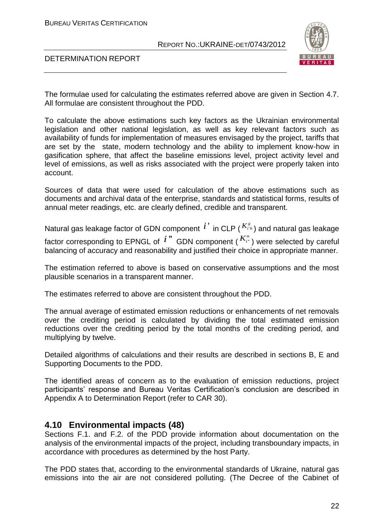

### DETERMINATION REPORT

The formulae used for calculating the estimates referred above are given in Section 4.7. All formulae are consistent throughout the PDD.

To calculate the above estimations such key factors as the Ukrainian environmental legislation and other national legislation, as well as key relevant factors such as availability of funds for implementation of measures envisaged by the project, tariffs that are set by the state, modern technology and the ability to implement know-how in gasification sphere, that affect the baseline emissions level, project activity level and level of emissions, as well as risks associated with the project were properly taken into account.

Sources of data that were used for calculation of the above estimations such as documents and archival data of the enterprise, standards and statistical forms, results of annual meter readings, etc. are clearly defined, credible and transparent.

Natural gas leakage factor of GDN component  $\overline{i}^{\;\cdot\;}$  in CLP ( $^{K^s_{i^*h}}$ ) and natural gas leakage factor corresponding to EPNGL of  $i$  " GDN component (  $K_{i^*}^n$  ) were selected by careful balancing of accuracy and reasonability and justified their choice in appropriate manner.

The estimation referred to above is based on conservative assumptions and the most plausible scenarios in a transparent manner.

The estimates referred to above are consistent throughout the PDD.

The annual average of estimated emission reductions or enhancements of net removals over the crediting period is calculated by dividing the total estimated emission reductions over the crediting period by the total months of the crediting period, and multiplying by twelve.

Detailed algorithms of calculations and their results are described in sections B, E and Supporting Documents to the PDD.

The identified areas of concern as to the evaluation of emission reductions, project participants' response and Bureau Veritas Certification's conclusion are described in Appendix A to Determination Report (refer to CAR 30).

# **4.10 Environmental impacts (48)**

Sections F.1. and F.2. of the PDD provide information about documentation on the analysis of the environmental impacts of the project, including transboundary impacts, in accordance with procedures as determined by the host Party.

The PDD states that, according to the environmental standards of Ukraine, natural gas emissions into the air are not considered polluting. (The Decree of the Cabinet of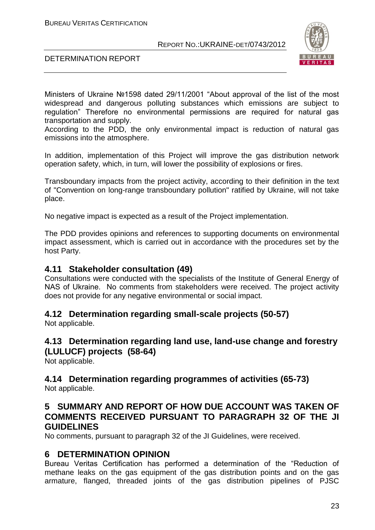

DETERMINATION REPORT

Ministers of Ukraine №1598 dated 29/11/2001 "About approval of the list of the most widespread and dangerous polluting substances which emissions are subject to regulation" Therefore no environmental permissions are required for natural gas transportation and supply.

According to the PDD, the only environmental impact is reduction of natural gas emissions into the atmosphere.

In addition, implementation of this Project will improve the gas distribution network operation safety, which, in turn, will lower the possibility of explosions or fires.

Transboundary impacts from the project activity, according to their definition in the text of "Convention on long-range transboundary pollution" ratified by Ukraine, will not take place.

No negative impact is expected as a result of the Project implementation.

The PDD provides opinions and references to supporting documents on environmental impact assessment, which is carried out in accordance with the procedures set by the host Party.

# **4.11 Stakeholder consultation (49)**

Consultations were conducted with the specialists of the Institute of General Energy of NАS of Ukraine. No comments from stakeholders were received. The project activity does not provide for any negative environmental or social impact.

# **4.12 Determination regarding small-scale projects (50-57)**

Not applicable.

# **4.13 Determination regarding land use, land-use change and forestry (LULUCF) projects (58-64)**

Not applicable.

# **4.14 Determination regarding programmes of activities (65-73)**

Not applicable.

# **5 SUMMARY AND REPORT OF HOW DUE ACCOUNT WAS TAKEN OF COMMENTS RECEIVED PURSUANT TO PARAGRAPH 32 OF THE JI GUIDELINES**

No comments, pursuant to paragraph 32 of the JI Guidelines, were received.

# **6 DETERMINATION OPINION**

Bureau Veritas Certification has performed a determination of the "Reduction of methane leaks on the gas equipment of the gas distribution points and on the gas armature, flanged, threaded joints of the gas distribution pipelines of PJSC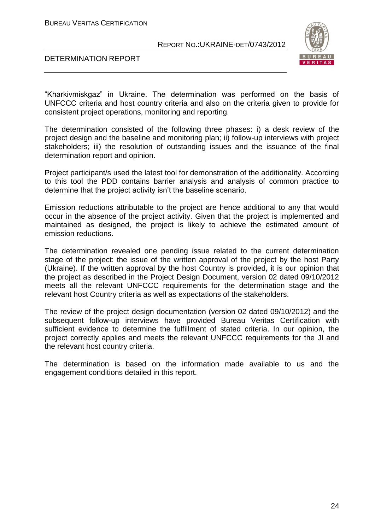

### DETERMINATION REPORT

"Kharkivmiskgaz" in Ukraine. The determination was performed on the basis of UNFCCC criteria and host country criteria and also on the criteria given to provide for consistent project operations, monitoring and reporting.

The determination consisted of the following three phases: i) a desk review of the project design and the baseline and monitoring plan; ii) follow-up interviews with project stakeholders; iii) the resolution of outstanding issues and the issuance of the final determination report and opinion.

Project participant/s used the latest tool for demonstration of the additionality. According to this tool the PDD contains barrier analysis and analysis of common practice to determine that the project activity isn't the baseline scenario.

Emission reductions attributable to the project are hence additional to any that would occur in the absence of the project activity. Given that the project is implemented and maintained as designed, the project is likely to achieve the estimated amount of emission reductions.

The determination revealed one pending issue related to the current determination stage of the project: the issue of the written approval of the project by the host Party (Ukraine). If the written approval by the host Country is provided, it is our opinion that the project as described in the Project Design Document, version 02 dated 09/10/2012 meets all the relevant UNFCCC requirements for the determination stage and the relevant host Country criteria as well as expectations of the stakeholders.

The review of the project design documentation (version 02 dated 09/10/2012) and the subsequent follow-up interviews have provided Bureau Veritas Certification with sufficient evidence to determine the fulfillment of stated criteria. In our opinion, the project correctly applies and meets the relevant UNFCCC requirements for the JI and the relevant host country criteria.

The determination is based on the information made available to us and the engagement conditions detailed in this report.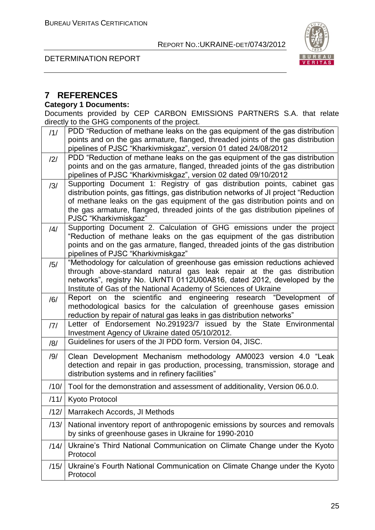DETERMINATION REPORT





# **7 REFERENCES**

# **Category 1 Documents:**

Documents provided by CEP CARBON EMISSIONS PARTNERS S.A. that relate directly to the GHG components of the project.

| /1/  | PDD "Reduction of methane leaks on the gas equipment of the gas distribution                                                                                     |
|------|------------------------------------------------------------------------------------------------------------------------------------------------------------------|
|      | points and on the gas armature, flanged, threaded joints of the gas distribution                                                                                 |
|      | pipelines of PJSC "Kharkivmiskgaz", version 01 dated 24/08/2012                                                                                                  |
| /2/  | PDD "Reduction of methane leaks on the gas equipment of the gas distribution<br>points and on the gas armature, flanged, threaded joints of the gas distribution |
|      | pipelines of PJSC "Kharkivmiskgaz", version 02 dated 09/10/2012                                                                                                  |
| /3/  | Supporting Document 1: Registry of gas distribution points, cabinet gas                                                                                          |
|      | distribution points, gas fittings, gas distribution networks of JI project "Reduction                                                                            |
|      | of methane leaks on the gas equipment of the gas distribution points and on                                                                                      |
|      | the gas armature, flanged, threaded joints of the gas distribution pipelines of                                                                                  |
|      | PJSC "Kharkivmiskgaz"                                                                                                                                            |
| /4/  | Supporting Document 2. Calculation of GHG emissions under the project                                                                                            |
|      | "Reduction of methane leaks on the gas equipment of the gas distribution                                                                                         |
|      | points and on the gas armature, flanged, threaded joints of the gas distribution<br>pipelines of PJSC "Kharkivmiskgaz"                                           |
| /5/  | "Methodology for calculation of greenhouse gas emission reductions achieved                                                                                      |
|      | through above-standard natural gas leak repair at the gas distribution                                                                                           |
|      | networks", registry No. UkrNTI 0112U00A816, dated 2012, developed by the                                                                                         |
|      | Institute of Gas of the National Academy of Sciences of Ukraine                                                                                                  |
| /6/  | Report on the scientific and engineering research "Development of                                                                                                |
|      | methodological basics for the calculation of greenhouse gases emission                                                                                           |
|      | reduction by repair of natural gas leaks in gas distribution networks"<br>Letter of Endorsement No.291923/7 issued by the State Environmental                    |
| 7    | Investment Agency of Ukraine dated 05/10/2012.                                                                                                                   |
| /8/  | Guidelines for users of the JI PDD form. Version 04, JISC.                                                                                                       |
|      |                                                                                                                                                                  |
| /9/  | Clean Development Mechanism methodology AM0023 version 4.0 "Leak<br>detection and repair in gas production, processing, transmission, storage and                |
|      | distribution systems and in refinery facilities"                                                                                                                 |
| /10/ | Tool for the demonstration and assessment of additionality, Version 06.0.0.                                                                                      |
|      | /11/ Kyoto Protocol                                                                                                                                              |
| /12/ | Marrakech Accords, JI Methods                                                                                                                                    |
| /13/ | National inventory report of anthropogenic emissions by sources and removals                                                                                     |
|      | by sinks of greenhouse gases in Ukraine for 1990-2010                                                                                                            |
| /14/ | Ukraine's Third National Communication on Climate Change under the Kyoto<br>Protocol                                                                             |
|      |                                                                                                                                                                  |
| /15/ | Ukraine's Fourth National Communication on Climate Change under the Kyoto                                                                                        |
|      | Protocol                                                                                                                                                         |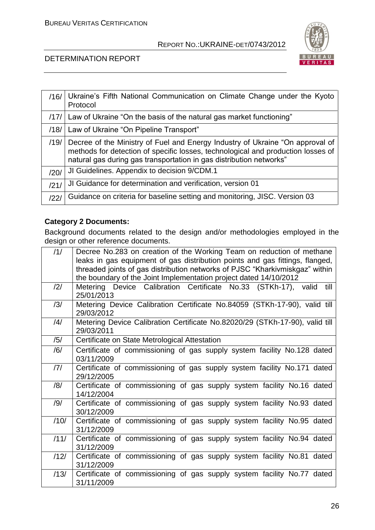

# DETERMINATION REPORT

| /16/ | Ukraine's Fifth National Communication on Climate Change under the Kyoto<br>Protocol                                                                                                                                                     |
|------|------------------------------------------------------------------------------------------------------------------------------------------------------------------------------------------------------------------------------------------|
| /17/ | Law of Ukraine "On the basis of the natural gas market functioning"                                                                                                                                                                      |
| /18/ | Law of Ukraine "On Pipeline Transport"                                                                                                                                                                                                   |
| /19/ | Decree of the Ministry of Fuel and Energy Industry of Ukraine "On approval of<br>methods for detection of specific losses, technological and production losses of<br>natural gas during gas transportation in gas distribution networks" |
| /20/ | JI Guidelines. Appendix to decision 9/CDM.1                                                                                                                                                                                              |
| /21/ | JI Guidance for determination and verification, version 01                                                                                                                                                                               |
| 1221 | Guidance on criteria for baseline setting and monitoring, JISC. Version 03                                                                                                                                                               |

# **Category 2 Documents:**

Background documents related to the design and/or methodologies employed in the design or other reference documents.

| /1/            | Decree No.283 on creation of the Working Team on reduction of methane                      |
|----------------|--------------------------------------------------------------------------------------------|
|                | leaks in gas equipment of gas distribution points and gas fittings, flanged,               |
|                | threaded joints of gas distribution networks of PJSC "Kharkivmiskgaz" within               |
|                | the boundary of the Joint Implementation project dated 14/10/2012                          |
| $\frac{12}{1}$ | Metering Device Calibration Certificate No.33 (STKh-17), valid<br>till<br>25/01/2013       |
| /3/            | Metering Device Calibration Certificate No.84059 (STKh-17-90), valid till<br>29/03/2012    |
| $\frac{14}{3}$ | Metering Device Calibration Certificate No.82020/29 (STKh-17-90), valid till<br>29/03/2011 |
| /5/            | Certificate on State Metrological Attestation                                              |
| /6/            | Certificate of commissioning of gas supply system facility No.128 dated<br>03/11/2009      |
| 7              | Certificate of commissioning of gas supply system facility No.171 dated<br>29/12/2005      |
| /8/            | Certificate of commissioning of gas supply system facility No.16 dated<br>14/12/2004       |
| /9/            | Certificate of commissioning of gas supply system facility No.93 dated<br>30/12/2009       |
| /10/           | Certificate of commissioning of gas supply system facility No.95 dated<br>31/12/2009       |
| /11/           | Certificate of commissioning of gas supply system facility No.94 dated<br>31/12/2009       |
| /12/           | Certificate of commissioning of gas supply system facility No.81 dated<br>31/12/2009       |
| /13/           | Certificate of commissioning of gas supply system facility No.77 dated<br>31/11/2009       |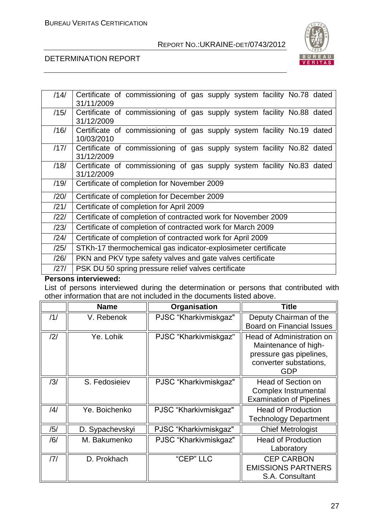

# DETERMINATION REPORT

| /14/ | Certificate of commissioning of gas supply system facility No.78 dated<br>31/11/2009 |  |  |  |
|------|--------------------------------------------------------------------------------------|--|--|--|
| /15/ | Certificate of commissioning of gas supply system facility No.88 dated<br>31/12/2009 |  |  |  |
| /16/ | Certificate of commissioning of gas supply system facility No.19 dated<br>10/03/2010 |  |  |  |
| /17/ | Certificate of commissioning of gas supply system facility No.82 dated<br>31/12/2009 |  |  |  |
| /18/ | Certificate of commissioning of gas supply system facility No.83 dated<br>31/12/2009 |  |  |  |
| /19/ | Certificate of completion for November 2009                                          |  |  |  |
| /20/ | Certificate of completion for December 2009                                          |  |  |  |
| /21/ | Certificate of completion for April 2009                                             |  |  |  |
| /22/ | Certificate of completion of contracted work for November 2009                       |  |  |  |
| /23/ | Certificate of completion of contracted work for March 2009                          |  |  |  |
| /24/ | Certificate of completion of contracted work for April 2009                          |  |  |  |
| /25/ | STKh-17 thermochemical gas indicator-explosimeter certificate                        |  |  |  |
| /26/ | PKN and PKV type safety valves and gate valves certificate                           |  |  |  |
| /27/ | PSK DU 50 spring pressure relief valves certificate                                  |  |  |  |

### **Persons interviewed:**

List of persons interviewed during the determination or persons that contributed with other information that are not included in the documents listed above.

|                | <b>Name</b>     | Organisation          | <b>Title</b>                                                                                                                |  |
|----------------|-----------------|-----------------------|-----------------------------------------------------------------------------------------------------------------------------|--|
| /1/            | V. Rebenok      | PJSC "Kharkivmiskgaz" | Deputy Chairman of the<br><b>Board on Financial Issues</b>                                                                  |  |
| /2/            | Ye. Lohik       | PJSC "Kharkivmiskgaz" | <b>Head of Administration on</b><br>Maintenance of high-<br>pressure gas pipelines,<br>converter substations,<br><b>GDP</b> |  |
| /3/            | S. Fedosieiev   | PJSC "Kharkivmiskgaz" | Head of Section on<br>Complex Instrumental<br><b>Examination of Pipelines</b>                                               |  |
| $\frac{14}{3}$ | Ye. Boichenko   | PJSC "Kharkivmiskgaz" | <b>Head of Production</b><br><b>Technology Department</b>                                                                   |  |
| /5/            | D. Sypachevskyi | PJSC "Kharkivmiskgaz" | <b>Chief Metrologist</b>                                                                                                    |  |
| /6/            | M. Bakumenko    | PJSC "Kharkivmiskgaz" | <b>Head of Production</b><br>Laboratory                                                                                     |  |
| 7              | D. Prokhach     | "CEP" LLC             | <b>CEP CARBON</b><br><b>EMISSIONS PARTNERS</b><br>S.A. Consultant                                                           |  |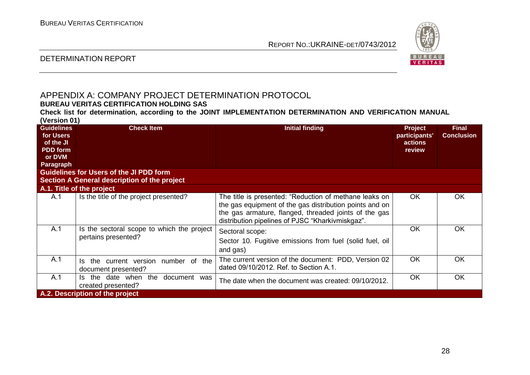

### DETERMINATION REPORT

# APPENDIX A: COMPANY PROJECT DETERMINATION PROTOCOL

# **BUREAU VERITAS CERTIFICATION HOLDING SAS**

**Check list for determination, according to the JOINT IMPLEMENTATION DETERMINATION AND VERIFICATION MANUAL (Version 01)**

| <b>Guidelines</b><br>for Users<br>of the JI<br><b>PDD</b> form<br>or DVM<br><b>Paragraph</b> | <b>Check Item</b>                                                                              | <b>Initial finding</b>                                                                                                                                                                                                         | <b>Project</b><br>participants'<br>actions<br>review | <b>Final</b><br><b>Conclusion</b> |
|----------------------------------------------------------------------------------------------|------------------------------------------------------------------------------------------------|--------------------------------------------------------------------------------------------------------------------------------------------------------------------------------------------------------------------------------|------------------------------------------------------|-----------------------------------|
|                                                                                              | <b>Guidelines for Users of the JI PDD form</b><br>Section A General description of the project |                                                                                                                                                                                                                                |                                                      |                                   |
|                                                                                              | A.1. Title of the project                                                                      |                                                                                                                                                                                                                                |                                                      |                                   |
| A.1                                                                                          | Is the title of the project presented?                                                         | The title is presented: "Reduction of methane leaks on<br>the gas equipment of the gas distribution points and on<br>the gas armature, flanged, threaded joints of the gas<br>distribution pipelines of PJSC "Kharkivmiskgaz". | OK.                                                  | <b>OK</b>                         |
| A.1                                                                                          | Is the sectoral scope to which the project<br>pertains presented?                              | Sectoral scope:<br>Sector 10. Fugitive emissions from fuel (solid fuel, oil<br>and gas)                                                                                                                                        | <b>OK</b>                                            | <b>OK</b>                         |
| A.1                                                                                          | the current version<br>number of the<br>Is<br>document presented?                              | The current version of the document: PDD, Version 02<br>dated 09/10/2012. Ref. to Section A.1.                                                                                                                                 | <b>OK</b>                                            | <b>OK</b>                         |
| A.1                                                                                          | the date when<br>the<br>document was<br>ls.<br>created presented?                              | The date when the document was created: 09/10/2012.                                                                                                                                                                            | OK.                                                  | <b>OK</b>                         |
| A.2. Description of the project                                                              |                                                                                                |                                                                                                                                                                                                                                |                                                      |                                   |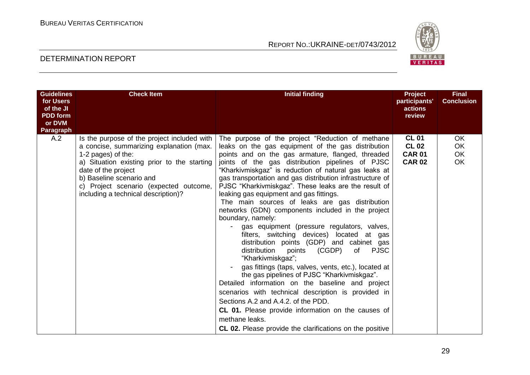

| <b>Guidelines</b><br>for Users<br>of the JI<br><b>PDD</b> form<br>or DVM<br>Paragraph | <b>Check Item</b>                                                                                                                                                                                                                                                                                | <b>Initial finding</b>                                                                                                                                                                                                                                                                                                                                                                                                                                                                                                                                                                                                                                                                                                                                                                                                                                                                                                                                                                                                                                                                                                                                                                                  | Project<br>participants'<br>actions<br>review                  | <b>Final</b><br><b>Conclusion</b>  |
|---------------------------------------------------------------------------------------|--------------------------------------------------------------------------------------------------------------------------------------------------------------------------------------------------------------------------------------------------------------------------------------------------|---------------------------------------------------------------------------------------------------------------------------------------------------------------------------------------------------------------------------------------------------------------------------------------------------------------------------------------------------------------------------------------------------------------------------------------------------------------------------------------------------------------------------------------------------------------------------------------------------------------------------------------------------------------------------------------------------------------------------------------------------------------------------------------------------------------------------------------------------------------------------------------------------------------------------------------------------------------------------------------------------------------------------------------------------------------------------------------------------------------------------------------------------------------------------------------------------------|----------------------------------------------------------------|------------------------------------|
| A.2                                                                                   | Is the purpose of the project included with<br>a concise, summarizing explanation (max.<br>1-2 pages) of the:<br>a) Situation existing prior to the starting<br>date of the project<br>b) Baseline scenario and<br>c) Project scenario (expected outcome,<br>including a technical description)? | The purpose of the project "Reduction of methane<br>leaks on the gas equipment of the gas distribution<br>points and on the gas armature, flanged, threaded<br>joints of the gas distribution pipelines of PJSC<br>"Kharkivmiskgaz" is reduction of natural gas leaks at<br>gas transportation and gas distribution infrastructure of<br>PJSC "Kharkivmiskgaz". These leaks are the result of<br>leaking gas equipment and gas fittings.<br>The main sources of leaks are gas distribution<br>networks (GDN) components included in the project<br>boundary, namely:<br>gas equipment (pressure regulators, valves,<br>filters, switching devices) located at gas<br>distribution points (GDP) and cabinet gas<br>distribution<br>(CGDP)<br>points<br>of<br><b>PJSC</b><br>"Kharkivmiskgaz";<br>gas fittings (taps, valves, vents, etc.), located at<br>the gas pipelines of PJSC "Kharkivmiskgaz".<br>Detailed information on the baseline and project<br>scenarios with technical description is provided in<br>Sections A.2 and A.4.2, of the PDD.<br><b>CL 01.</b> Please provide information on the causes of<br>methane leaks.<br><b>CL 02.</b> Please provide the clarifications on the positive | <b>CL 01</b><br><b>CL 02</b><br><b>CAR 01</b><br><b>CAR 02</b> | <b>OK</b><br>OK<br>OK<br><b>OK</b> |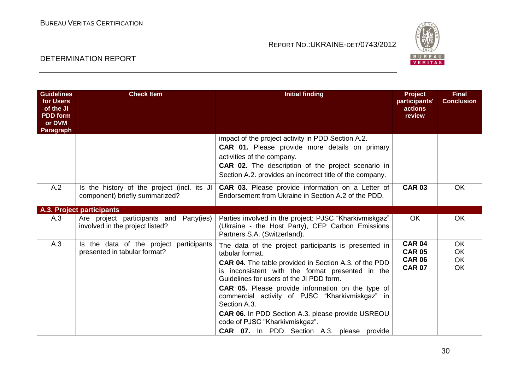

| <b>Guidelines</b><br>for Users<br>of the JI<br><b>PDD</b> form<br>or DVM<br>Paragraph | <b>Check Item</b>                                                             | <b>Initial finding</b>                                                                                                                                                                                                                                                                                                                                                                                                                                                                                             | <b>Project</b><br>participants'<br>actions<br>review             | <b>Final</b><br><b>Conclusion</b>                |
|---------------------------------------------------------------------------------------|-------------------------------------------------------------------------------|--------------------------------------------------------------------------------------------------------------------------------------------------------------------------------------------------------------------------------------------------------------------------------------------------------------------------------------------------------------------------------------------------------------------------------------------------------------------------------------------------------------------|------------------------------------------------------------------|--------------------------------------------------|
|                                                                                       |                                                                               | impact of the project activity in PDD Section A.2.<br><b>CAR 01.</b> Please provide more details on primary<br>activities of the company.<br>CAR 02. The description of the project scenario in<br>Section A.2. provides an incorrect title of the company.                                                                                                                                                                                                                                                        |                                                                  |                                                  |
| A.2                                                                                   | Is the history of the project (incl. its JI<br>component) briefly summarized? | <b>CAR 03.</b> Please provide information on a Letter of<br>Endorsement from Ukraine in Section A.2 of the PDD.                                                                                                                                                                                                                                                                                                                                                                                                    | <b>CAR 03</b>                                                    | <b>OK</b>                                        |
|                                                                                       | A.3. Project participants                                                     |                                                                                                                                                                                                                                                                                                                                                                                                                                                                                                                    |                                                                  |                                                  |
| A.3                                                                                   | Are project participants and Party(ies)<br>involved in the project listed?    | Parties involved in the project: PJSC "Kharkivmiskgaz"<br>(Ukraine - the Host Party), CEP Carbon Emissions<br>Partners S.A. (Switzerland).                                                                                                                                                                                                                                                                                                                                                                         | <b>OK</b>                                                        | <b>OK</b>                                        |
| A.3                                                                                   | Is the data of the project participants<br>presented in tabular format?       | The data of the project participants is presented in<br>tabular format.<br><b>CAR 04.</b> The table provided in Section A.3. of the PDD<br>is inconsistent with the format presented in the<br>Guidelines for users of the JI PDD form.<br><b>CAR 05.</b> Please provide information on the type of<br>commercial activity of PJSC "Kharkivmiskgaz" in<br>Section A.3.<br><b>CAR 06.</b> In PDD Section A.3. please provide USREOU<br>code of PJSC "Kharkivmiskgaz".<br>CAR 07. In PDD Section A.3. please provide | <b>CAR 04</b><br><b>CAR 05</b><br><b>CAR 06</b><br><b>CAR 07</b> | <b>OK</b><br><b>OK</b><br><b>OK</b><br><b>OK</b> |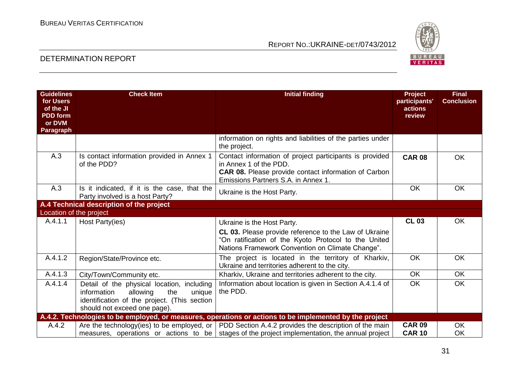

| <b>Guidelines</b><br>for Users | <b>Check Item</b>                                                                                                                                                      | <b>Initial finding</b>                                                                                   | Project<br>participants' | <b>Final</b><br><b>Conclusion</b> |
|--------------------------------|------------------------------------------------------------------------------------------------------------------------------------------------------------------------|----------------------------------------------------------------------------------------------------------|--------------------------|-----------------------------------|
| of the JI<br><b>PDD</b> form   |                                                                                                                                                                        |                                                                                                          | actions<br>review        |                                   |
| or DVM                         |                                                                                                                                                                        |                                                                                                          |                          |                                   |
| Paragraph                      |                                                                                                                                                                        | information on rights and liabilities of the parties under                                               |                          |                                   |
|                                |                                                                                                                                                                        | the project.                                                                                             |                          |                                   |
| A.3                            | Is contact information provided in Annex 1<br>of the PDD?                                                                                                              | Contact information of project participants is provided<br>in Annex 1 of the PDD.                        | <b>CAR 08</b>            | <b>OK</b>                         |
|                                |                                                                                                                                                                        | <b>CAR 08.</b> Please provide contact information of Carbon<br>Emissions Partners S.A. in Annex 1.       |                          |                                   |
| A.3                            | Is it indicated, if it is the case, that the<br>Party involved is a host Party?                                                                                        | Ukraine is the Host Party.                                                                               | <b>OK</b>                | <b>OK</b>                         |
|                                | A.4 Technical description of the project                                                                                                                               |                                                                                                          |                          |                                   |
| Location of the project        |                                                                                                                                                                        |                                                                                                          |                          |                                   |
| A.4.1.1                        | Host Party(ies)                                                                                                                                                        | Ukraine is the Host Party.                                                                               | <b>CL 03</b>             | <b>OK</b>                         |
|                                |                                                                                                                                                                        | CL 03. Please provide reference to the Law of Ukraine                                                    |                          |                                   |
|                                |                                                                                                                                                                        | "On ratification of the Kyoto Protocol to the United<br>Nations Framework Convention on Climate Change". |                          |                                   |
| A.4.1.2                        | Region/State/Province etc.                                                                                                                                             | The project is located in the territory of Kharkiv,<br>Ukraine and territories adherent to the city.     | OK                       | <b>OK</b>                         |
| A.4.1.3                        | City/Town/Community etc.                                                                                                                                               | Kharkiv, Ukraine and territories adherent to the city.                                                   | <b>OK</b>                | OK.                               |
| A.4.1.4                        | Detail of the physical location, including<br>information<br>allowing<br>the<br>unique<br>identification of the project. (This section<br>should not exceed one page). | Information about location is given in Section A.4.1.4 of<br>the PDD.                                    | <b>OK</b>                | <b>OK</b>                         |
|                                |                                                                                                                                                                        | A.4.2. Technologies to be employed, or measures, operations or actions to be implemented by the project  |                          |                                   |
| A.4.2                          |                                                                                                                                                                        | Are the technology(ies) to be employed, or   PDD Section A.4.2 provides the description of the main      | <b>CAR 09</b>            | <b>OK</b>                         |
|                                |                                                                                                                                                                        | measures, operations or actions to be stages of the project implementation, the annual project           | <b>CAR 10</b>            | <b>OK</b>                         |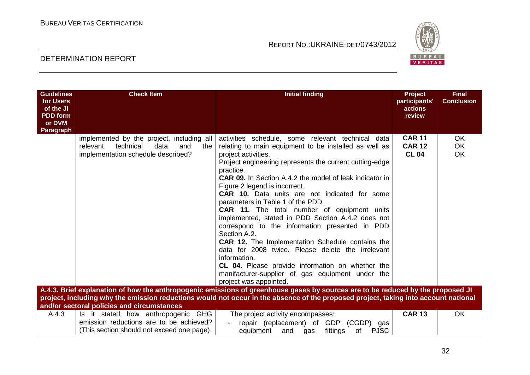

| <b>Guidelines</b><br>for Users<br>of the JI<br><b>PDD</b> form<br>or DVM<br>Paragraph | <b>Check Item</b>                                                                                                              | <b>Initial finding</b>                                                                                                                                                                                                                                                                                                                                                                                                                                                                                                                                                                                                                                                                                                                                                                                                                            | <b>Project</b><br>participants'<br>actions<br>review | <b>Final</b><br><b>Conclusion</b> |
|---------------------------------------------------------------------------------------|--------------------------------------------------------------------------------------------------------------------------------|---------------------------------------------------------------------------------------------------------------------------------------------------------------------------------------------------------------------------------------------------------------------------------------------------------------------------------------------------------------------------------------------------------------------------------------------------------------------------------------------------------------------------------------------------------------------------------------------------------------------------------------------------------------------------------------------------------------------------------------------------------------------------------------------------------------------------------------------------|------------------------------------------------------|-----------------------------------|
|                                                                                       | implemented by the project, including all<br>relevant<br>technical<br>data<br>and<br>the<br>implementation schedule described? | activities schedule, some relevant technical data<br>relating to main equipment to be installed as well as<br>project activities.<br>Project engineering represents the current cutting-edge<br>practice.<br><b>CAR 09.</b> In Section A.4.2 the model of leak indicator in<br>Figure 2 legend is incorrect.<br><b>CAR 10.</b> Data units are not indicated for some<br>parameters in Table 1 of the PDD.<br>CAR 11. The total number of equipment units<br>implemented, stated in PDD Section A.4.2 does not<br>correspond to the information presented in PDD<br>Section A.2.<br><b>CAR 12.</b> The Implementation Schedule contains the<br>data for 2008 twice. Please delete the irrelevant<br>information.<br>CL 04. Please provide information on whether the<br>manifacturer-supplier of gas equipment under the<br>project was appointed. | <b>CAR 11</b><br><b>CAR 12</b><br><b>CL 04</b>       | OK.<br><b>OK</b><br><b>OK</b>     |
|                                                                                       |                                                                                                                                | A.4.3. Brief explanation of how the anthropogenic emissions of greenhouse gases by sources are to be reduced by the proposed JI<br>project, including why the emission reductions would not occur in the absence of the proposed project, taking into account national                                                                                                                                                                                                                                                                                                                                                                                                                                                                                                                                                                            |                                                      |                                   |
| A.4.3                                                                                 | and/or sectoral policies and circumstances<br>Is it stated how anthropogenic GHG                                               | The project activity encompasses:                                                                                                                                                                                                                                                                                                                                                                                                                                                                                                                                                                                                                                                                                                                                                                                                                 | <b>CAR 13</b>                                        | <b>OK</b>                         |
|                                                                                       | emission reductions are to be achieved?<br>(This section should not exceed one page)                                           | repair (replacement) of GDP (CGDP)<br>gas<br>fittings<br><b>PJSC</b><br>equipment<br>and<br>of<br>gas                                                                                                                                                                                                                                                                                                                                                                                                                                                                                                                                                                                                                                                                                                                                             |                                                      |                                   |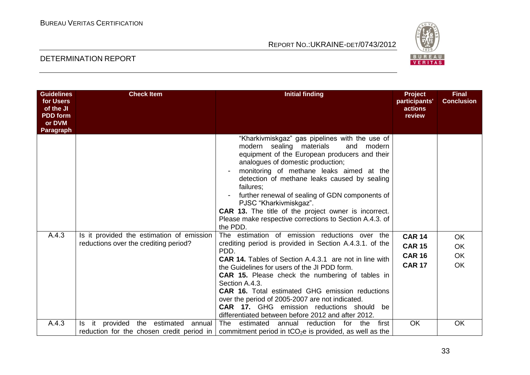

| <b>Guidelines</b><br>for Users<br>of the JI<br><b>PDD</b> form<br>or DVM | <b>Check Item</b>                                                             | <b>Initial finding</b>                                                                                                                                                                                                                                                                                                                                                                                                                                                                                     | <b>Project</b><br>participants'<br>actions<br>review | <b>Final</b><br><b>Conclusion</b> |
|--------------------------------------------------------------------------|-------------------------------------------------------------------------------|------------------------------------------------------------------------------------------------------------------------------------------------------------------------------------------------------------------------------------------------------------------------------------------------------------------------------------------------------------------------------------------------------------------------------------------------------------------------------------------------------------|------------------------------------------------------|-----------------------------------|
| Paragraph                                                                |                                                                               |                                                                                                                                                                                                                                                                                                                                                                                                                                                                                                            |                                                      |                                   |
|                                                                          |                                                                               | "Kharkivmiskgaz" gas pipelines with the use of<br>modern sealing materials<br>and modern<br>equipment of the European producers and their<br>analogues of domestic production;<br>monitoring of methane leaks aimed at the<br>detection of methane leaks caused by sealing<br>failures:<br>further renewal of sealing of GDN components of<br>PJSC "Kharkivmiskgaz".<br><b>CAR 13.</b> The title of the project owner is incorrect.<br>Please make respective corrections to Section A.4.3. of<br>the PDD. |                                                      |                                   |
| A.4.3                                                                    | Is it provided the estimation of emission                                     | The estimation of emission reductions over the                                                                                                                                                                                                                                                                                                                                                                                                                                                             | <b>CAR 14</b>                                        | <b>OK</b>                         |
|                                                                          | reductions over the crediting period?                                         | crediting period is provided in Section A.4.3.1. of the<br>PDD.                                                                                                                                                                                                                                                                                                                                                                                                                                            | <b>CAR 15</b>                                        | <b>OK</b>                         |
|                                                                          |                                                                               | <b>CAR 14.</b> Tables of Section A.4.3.1 are not in line with                                                                                                                                                                                                                                                                                                                                                                                                                                              | <b>CAR 16</b>                                        | <b>OK</b>                         |
|                                                                          |                                                                               | the Guidelines for users of the JI PDD form.<br><b>CAR 15.</b> Please check the numbering of tables in<br>Section A.4.3.<br><b>CAR 16.</b> Total estimated GHG emission reductions<br>over the period of 2005-2007 are not indicated.<br><b>CAR 17.</b> GHG emission reductions should<br>be<br>differentiated between before 2012 and after 2012.                                                                                                                                                         | <b>CAR 17</b>                                        | <b>OK</b>                         |
| A.4.3                                                                    | it provided the estimated annual<br>reduction for the chosen credit period in | The<br>estimated<br>annual<br>reduction<br>for<br>the<br>first<br>commitment period in $tCO2e$ is provided, as well as the                                                                                                                                                                                                                                                                                                                                                                                 | OK                                                   | <b>OK</b>                         |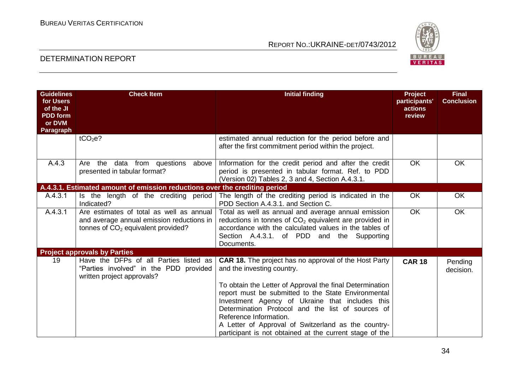

| <b>Guidelines</b><br>for Users<br>of the JI<br><b>PDD</b> form<br>or DVM<br>Paragraph | <b>Check Item</b>                                                                                                             | <b>Initial finding</b>                                                                                                                                                                                                                                                                                                                                              | Project<br>participants'<br>actions<br>review | <b>Final</b><br><b>Conclusion</b> |
|---------------------------------------------------------------------------------------|-------------------------------------------------------------------------------------------------------------------------------|---------------------------------------------------------------------------------------------------------------------------------------------------------------------------------------------------------------------------------------------------------------------------------------------------------------------------------------------------------------------|-----------------------------------------------|-----------------------------------|
|                                                                                       | tCO <sub>2</sub> e?                                                                                                           | estimated annual reduction for the period before and<br>after the first commitment period within the project.                                                                                                                                                                                                                                                       |                                               |                                   |
| A.4.3                                                                                 | the<br>data from questions<br>Are<br>above<br>presented in tabular format?                                                    | Information for the credit period and after the credit<br>period is presented in tabular format. Ref. to PDD<br>(Version 02) Tables 2, 3 and 4, Section A.4.3.1.                                                                                                                                                                                                    | <b>OK</b>                                     | <b>OK</b>                         |
|                                                                                       | A.4.3.1. Estimated amount of emission reductions over the crediting period                                                    |                                                                                                                                                                                                                                                                                                                                                                     |                                               |                                   |
| A.4.3.1                                                                               | Is the length of the crediting period<br>Indicated?                                                                           | The length of the crediting period is indicated in the<br>PDD Section A.4.3.1. and Section C.                                                                                                                                                                                                                                                                       | <b>OK</b>                                     | <b>OK</b>                         |
| A.4.3.1                                                                               | Are estimates of total as well as annual<br>and average annual emission reductions in<br>tonnes of $CO2$ equivalent provided? | Total as well as annual and average annual emission<br>reductions in tonnes of $CO2$ equivalent are provided in<br>accordance with the calculated values in the tables of<br>Section A.4.3.1. of PDD and the Supporting<br>Documents.                                                                                                                               | <b>OK</b>                                     | OK                                |
|                                                                                       | <b>Project approvals by Parties</b>                                                                                           |                                                                                                                                                                                                                                                                                                                                                                     |                                               |                                   |
| 19                                                                                    | Have the DFPs of all Parties listed as<br>"Parties involved" in the PDD provided<br>written project approvals?                | <b>CAR 18.</b> The project has no approval of the Host Party<br>and the investing country.                                                                                                                                                                                                                                                                          | <b>CAR 18</b>                                 | Pending<br>decision.              |
|                                                                                       |                                                                                                                               | To obtain the Letter of Approval the final Determination<br>report must be submitted to the State Environmental<br>Investment Agency of Ukraine that includes this<br>Determination Protocol and the list of sources of<br>Reference Information.<br>A Letter of Approval of Switzerland as the country-<br>participant is not obtained at the current stage of the |                                               |                                   |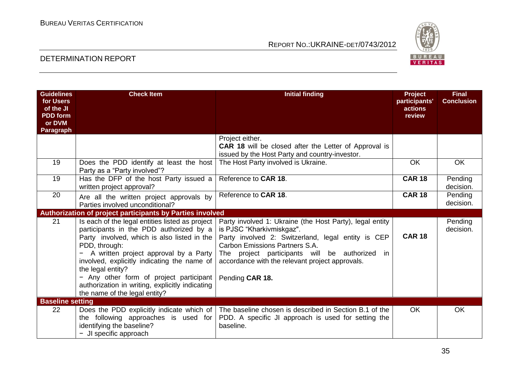

| <b>Guidelines</b><br>for Users<br>of the JI<br><b>PDD</b> form<br>or DVM<br>Paragraph | <b>Check Item</b>                                                                                                                                                                                                                                                                                                                                                                                      | <b>Initial finding</b>                                                                                                                                                                                                                                                                                      | Project<br>participants'<br>actions<br>review | <b>Final</b><br><b>Conclusion</b> |
|---------------------------------------------------------------------------------------|--------------------------------------------------------------------------------------------------------------------------------------------------------------------------------------------------------------------------------------------------------------------------------------------------------------------------------------------------------------------------------------------------------|-------------------------------------------------------------------------------------------------------------------------------------------------------------------------------------------------------------------------------------------------------------------------------------------------------------|-----------------------------------------------|-----------------------------------|
|                                                                                       |                                                                                                                                                                                                                                                                                                                                                                                                        | Project either.<br><b>CAR 18</b> will be closed after the Letter of Approval is<br>issued by the Host Party and country-investor.                                                                                                                                                                           |                                               |                                   |
| 19                                                                                    | Does the PDD identify at least the host<br>Party as a "Party involved"?                                                                                                                                                                                                                                                                                                                                | The Host Party involved is Ukraine.                                                                                                                                                                                                                                                                         | <b>OK</b>                                     | OK                                |
| 19                                                                                    | Has the DFP of the host Party issued a<br>written project approval?                                                                                                                                                                                                                                                                                                                                    | Reference to CAR 18.                                                                                                                                                                                                                                                                                        | <b>CAR 18</b>                                 | Pending<br>decision.              |
| 20                                                                                    | Are all the written project approvals by<br>Parties involved unconditional?                                                                                                                                                                                                                                                                                                                            | Reference to CAR 18.                                                                                                                                                                                                                                                                                        | <b>CAR 18</b>                                 | Pending<br>decision.              |
|                                                                                       | <b>Authorization of project participants by Parties involved</b>                                                                                                                                                                                                                                                                                                                                       |                                                                                                                                                                                                                                                                                                             |                                               |                                   |
| 21                                                                                    | Is each of the legal entities listed as project<br>participants in the PDD authorized by a<br>Party involved, which is also listed in the<br>PDD, through:<br>A written project approval by a Party<br>involved, explicitly indicating the name of<br>the legal entity?<br>- Any other form of project participant<br>authorization in writing, explicitly indicating<br>the name of the legal entity? | Party involved 1: Ukraine (the Host Party), legal entity<br>is PJSC "Kharkivmiskgaz".<br>Party involved 2: Switzerland, legal entity is CEP<br>Carbon Emissions Partners S.A.<br>The project participants will be authorized<br>in in<br>accordance with the relevant project approvals.<br>Pending CAR 18. | <b>CAR 18</b>                                 | Pending<br>decision.              |
| <b>Baseline setting</b>                                                               |                                                                                                                                                                                                                                                                                                                                                                                                        |                                                                                                                                                                                                                                                                                                             |                                               |                                   |
| 22                                                                                    | Does the PDD explicitly indicate which of<br>the following approaches is used for<br>identifying the baseline?<br>- JI specific approach                                                                                                                                                                                                                                                               | The baseline chosen is described in Section B.1 of the<br>PDD. A specific JI approach is used for setting the<br>baseline.                                                                                                                                                                                  | <b>OK</b>                                     | OK                                |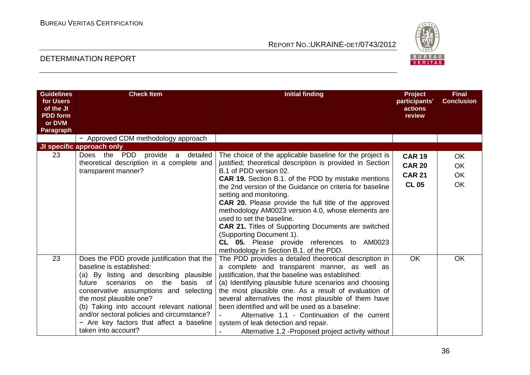

| <b>Guidelines</b><br>for Users<br>of the JI<br><b>PDD</b> form<br>or DVM<br>Paragraph | <b>Check Item</b>                                                                                                                                                                                                                                                                                                                                                                                     | <b>Initial finding</b>                                                                                                                                                                                                                                                                                                                                                                                                                                                                                                                                                                                                                     | Project<br>participants'<br>actions<br>review                   | <b>Final</b><br><b>Conclusion</b>         |
|---------------------------------------------------------------------------------------|-------------------------------------------------------------------------------------------------------------------------------------------------------------------------------------------------------------------------------------------------------------------------------------------------------------------------------------------------------------------------------------------------------|--------------------------------------------------------------------------------------------------------------------------------------------------------------------------------------------------------------------------------------------------------------------------------------------------------------------------------------------------------------------------------------------------------------------------------------------------------------------------------------------------------------------------------------------------------------------------------------------------------------------------------------------|-----------------------------------------------------------------|-------------------------------------------|
|                                                                                       | - Approved CDM methodology approach                                                                                                                                                                                                                                                                                                                                                                   |                                                                                                                                                                                                                                                                                                                                                                                                                                                                                                                                                                                                                                            |                                                                 |                                           |
|                                                                                       | JI specific approach only                                                                                                                                                                                                                                                                                                                                                                             |                                                                                                                                                                                                                                                                                                                                                                                                                                                                                                                                                                                                                                            |                                                                 |                                           |
| 23                                                                                    | detailed<br>Does the PDD<br>provide a<br>theoretical description in a complete and<br>transparent manner?                                                                                                                                                                                                                                                                                             | The choice of the applicable baseline for the project is<br>justified; theoretical description is provided in Section<br>B.1 of PDD version 02.<br><b>CAR 19.</b> Section B.1. of the PDD by mistake mentions<br>the 2nd version of the Guidance on criteria for baseline<br>setting and monitoring.<br><b>CAR 20.</b> Please provide the full title of the approved<br>methodology AM0023 version 4.0, whose elements are<br>used to set the baseline.<br><b>CAR 21.</b> Titles of Supporting Documents are switched<br>(Supporting Document 1).<br>CL 05. Please provide references to AM0023<br>methodology in Section B.1. of the PDD. | <b>CAR 19</b><br><b>CAR 20</b><br><b>CAR 21</b><br><b>CL 05</b> | <b>OK</b><br><b>OK</b><br><b>OK</b><br>OK |
| 23                                                                                    | Does the PDD provide justification that the<br>baseline is established:<br>(a) By listing and describing plausible<br>the<br>scenarios<br>basis of<br>future<br>on<br>conservative assumptions and selecting<br>the most plausible one?<br>(b) Taking into account relevant national<br>and/or sectoral policies and circumstance?<br>- Are key factors that affect a baseline<br>taken into account? | The PDD provides a detailed theoretical description in<br>a complete and transparent manner, as well as<br>justification, that the baseline was established:<br>(a) Identifying plausible future scenarios and choosing<br>the most plausible one. As a result of evaluation of<br>several alternatives the most plausible of them have<br>been identified and will be used as a baseline:<br>Alternative 1.1 - Continuation of the current<br>system of leak detection and repair.<br>Alternative 1.2 - Proposed project activity without                                                                                                 | <b>OK</b>                                                       | <b>OK</b>                                 |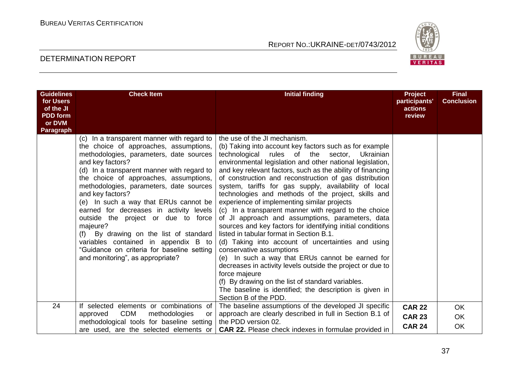

| <b>Guidelines</b><br>for Users<br>of the JI<br><b>PDD</b> form<br>or DVM<br>Paragraph | <b>Check Item</b>                                                                                                                                                                                                                                                                                                                                                                                                                                                                                                                                                                                                        | <b>Initial finding</b>                                                                                                                                                                                                                                                                                                                                                                                                                                                                                                                                                                                                                                                                                                                                                                                                                                                                                                                                                                                                                                                                    | <b>Project</b><br>participants'<br>actions<br>review | <b>Final</b><br><b>Conclusion</b> |
|---------------------------------------------------------------------------------------|--------------------------------------------------------------------------------------------------------------------------------------------------------------------------------------------------------------------------------------------------------------------------------------------------------------------------------------------------------------------------------------------------------------------------------------------------------------------------------------------------------------------------------------------------------------------------------------------------------------------------|-------------------------------------------------------------------------------------------------------------------------------------------------------------------------------------------------------------------------------------------------------------------------------------------------------------------------------------------------------------------------------------------------------------------------------------------------------------------------------------------------------------------------------------------------------------------------------------------------------------------------------------------------------------------------------------------------------------------------------------------------------------------------------------------------------------------------------------------------------------------------------------------------------------------------------------------------------------------------------------------------------------------------------------------------------------------------------------------|------------------------------------------------------|-----------------------------------|
|                                                                                       | (c) In a transparent manner with regard to<br>the choice of approaches, assumptions,<br>methodologies, parameters, date sources<br>and key factors?<br>(d) In a transparent manner with regard to<br>the choice of approaches, assumptions,<br>methodologies, parameters, date sources<br>and key factors?<br>(e) In such a way that ERUs cannot be<br>earned for decreases in activity levels<br>outside the project or due to force<br>majeure?<br>By drawing on the list of standard<br>(f)<br>variables contained in appendix B to<br>"Guidance on criteria for baseline setting<br>and monitoring", as appropriate? | the use of the JI mechanism.<br>(b) Taking into account key factors such as for example<br>rules of the<br>technological<br>sector,<br>Ukrainian<br>environmental legislation and other national legislation,<br>and key relevant factors, such as the ability of financing<br>of construction and reconstruction of gas distribution<br>system, tariffs for gas supply, availability of local<br>technologies and methods of the project, skills and<br>experience of implementing similar projects<br>(c) In a transparent manner with regard to the choice<br>of JI approach and assumptions, parameters, data<br>sources and key factors for identifying initial conditions<br>listed in tabular format in Section B.1.<br>(d) Taking into account of uncertainties and using<br>conservative assumptions<br>(e) In such a way that ERUs cannot be earned for<br>decreases in activity levels outside the project or due to<br>force majeure<br>(f) By drawing on the list of standard variables.<br>The baseline is identified; the description is given in<br>Section B of the PDD. |                                                      |                                   |
| 24                                                                                    | If selected elements or combinations of                                                                                                                                                                                                                                                                                                                                                                                                                                                                                                                                                                                  | The baseline assumptions of the developed JI specific                                                                                                                                                                                                                                                                                                                                                                                                                                                                                                                                                                                                                                                                                                                                                                                                                                                                                                                                                                                                                                     | <b>CAR 22</b>                                        | <b>OK</b>                         |
|                                                                                       | <b>CDM</b><br>methodologies<br>approved<br>or                                                                                                                                                                                                                                                                                                                                                                                                                                                                                                                                                                            | approach are clearly described in full in Section B.1 of<br>the PDD version 02.                                                                                                                                                                                                                                                                                                                                                                                                                                                                                                                                                                                                                                                                                                                                                                                                                                                                                                                                                                                                           | <b>CAR 23</b>                                        | OK                                |
|                                                                                       | methodological tools for baseline setting<br>are used, are the selected elements or                                                                                                                                                                                                                                                                                                                                                                                                                                                                                                                                      | <b>CAR 22.</b> Please check indexes in formulae provided in                                                                                                                                                                                                                                                                                                                                                                                                                                                                                                                                                                                                                                                                                                                                                                                                                                                                                                                                                                                                                               | <b>CAR 24</b>                                        | <b>OK</b>                         |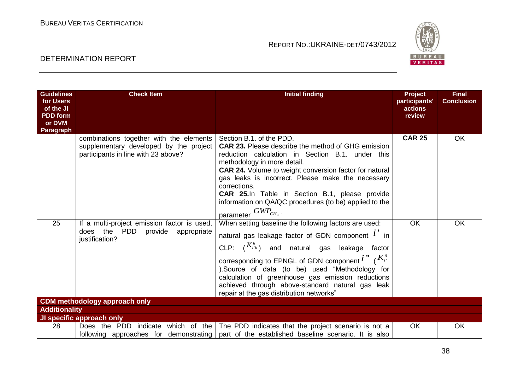

| <b>Guidelines</b><br>for Users<br>of the JI<br><b>PDD</b> form<br>or DVM<br>Paragraph | <b>Check Item</b>                                                                                                                            | <b>Initial finding</b>                                                                                                                                                                                                                                                                                                                                                                                                                                 | <b>Project</b><br>participants'<br>actions<br>review | <b>Final</b><br><b>Conclusion</b> |
|---------------------------------------------------------------------------------------|----------------------------------------------------------------------------------------------------------------------------------------------|--------------------------------------------------------------------------------------------------------------------------------------------------------------------------------------------------------------------------------------------------------------------------------------------------------------------------------------------------------------------------------------------------------------------------------------------------------|------------------------------------------------------|-----------------------------------|
|                                                                                       | combinations together with the elements<br>supplementary developed by the project<br>participants in line with 23 above?                     | Section B.1. of the PDD.<br><b>CAR 23.</b> Please describe the method of GHG emission<br>reduction calculation in Section B.1. under this<br>methodology in more detail.<br><b>CAR 24.</b> Volume to weight conversion factor for natural<br>gas leaks is incorrect. Please make the necessary<br>corrections.<br>CAR 25.In Table in Section B.1, please provide<br>information on QA/QC procedures (to be) applied to the<br>parameter $GWP_{CH_4}$ . | <b>CAR 25</b>                                        | OK                                |
| 25<br><b>Additionality</b>                                                            | If a multi-project emission factor is used,<br>does the PDD<br>provide appropriate<br>justification?<br><b>CDM</b> methodology approach only | When setting baseline the following factors are used:<br>natural gas leakage factor of GDN component $i'$ in<br>CLP: $(K_{i^*h}^s)$ and natural gas leakage factor<br>corresponding to EPNGL of GDN component $i''$ ( $K_{i''}$ )<br>). Source of data (to be) used "Methodology for<br>calculation of greenhouse gas emission reductions<br>achieved through above-standard natural gas leak<br>repair at the gas distribution networks"              | <b>OK</b>                                            | <b>OK</b>                         |
|                                                                                       | JI specific approach only                                                                                                                    |                                                                                                                                                                                                                                                                                                                                                                                                                                                        |                                                      |                                   |
| 28                                                                                    | Does the PDD indicate which of the                                                                                                           | The PDD indicates that the project scenario is not a<br>following approaches for demonstrating   part of the established baseline scenario. It is also                                                                                                                                                                                                                                                                                                 | <b>OK</b>                                            | <b>OK</b>                         |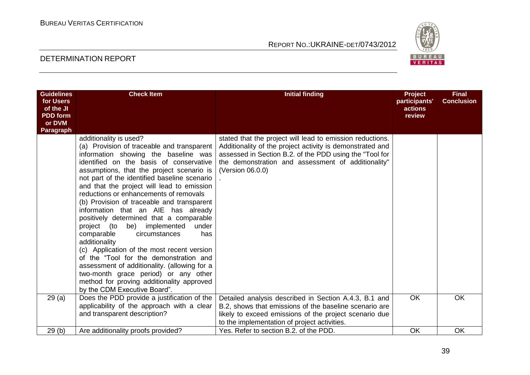

| <b>Guidelines</b><br>for Users<br>of the JI<br><b>PDD</b> form<br>or DVM<br>Paragraph | <b>Check Item</b>                                                                                                                                                                                                                                                                                                                                                                                                                                                                                                                                                                                                                                                                                                                                                                                                                        | <b>Initial finding</b>                                                                                                                                                                                                                                      | Project<br>participants'<br>actions<br>review | <b>Final</b><br><b>Conclusion</b> |
|---------------------------------------------------------------------------------------|------------------------------------------------------------------------------------------------------------------------------------------------------------------------------------------------------------------------------------------------------------------------------------------------------------------------------------------------------------------------------------------------------------------------------------------------------------------------------------------------------------------------------------------------------------------------------------------------------------------------------------------------------------------------------------------------------------------------------------------------------------------------------------------------------------------------------------------|-------------------------------------------------------------------------------------------------------------------------------------------------------------------------------------------------------------------------------------------------------------|-----------------------------------------------|-----------------------------------|
|                                                                                       | additionality is used?<br>(a) Provision of traceable and transparent<br>information showing the baseline was<br>identified on the basis of conservative<br>assumptions, that the project scenario is<br>not part of the identified baseline scenario<br>and that the project will lead to emission<br>reductions or enhancements of removals<br>(b) Provision of traceable and transparent<br>information that an AIE has already<br>positively determined that a comparable<br>project (to be) implemented<br>under<br>comparable<br>has<br>circumstances<br>additionality<br>(c) Application of the most recent version<br>of the "Tool for the demonstration and<br>assessment of additionality. (allowing for a<br>two-month grace period) or any other<br>method for proving additionality approved<br>by the CDM Executive Board". | stated that the project will lead to emission reductions.<br>Additionality of the project activity is demonstrated and<br>assessed in Section B.2. of the PDD using the "Tool for<br>the demonstration and assessment of additionality"<br>(Version 06.0.0) |                                               |                                   |
| 29(a)                                                                                 | Does the PDD provide a justification of the<br>applicability of the approach with a clear<br>and transparent description?                                                                                                                                                                                                                                                                                                                                                                                                                                                                                                                                                                                                                                                                                                                | Detailed analysis described in Section A.4.3, B.1 and<br>B.2, shows that emissions of the baseline scenario are<br>likely to exceed emissions of the project scenario due<br>to the implementation of project activities.                                   | <b>OK</b>                                     | <b>OK</b>                         |
| 29(b)                                                                                 | Are additionality proofs provided?                                                                                                                                                                                                                                                                                                                                                                                                                                                                                                                                                                                                                                                                                                                                                                                                       | Yes. Refer to section B.2, of the PDD.                                                                                                                                                                                                                      | <b>OK</b>                                     | <b>OK</b>                         |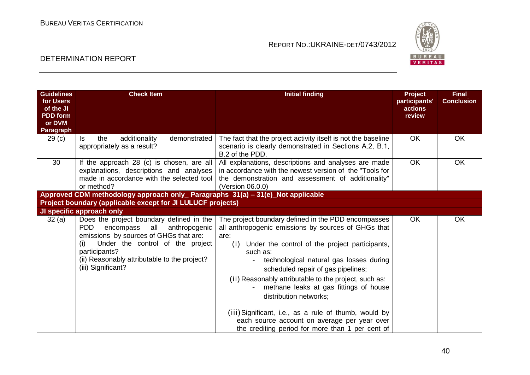

| <b>Guidelines</b><br>for Users<br>of the JI<br><b>PDD</b> form<br>or DVM<br>Paragraph | <b>Check Item</b>                                                                                                                                                                                                                                                    | <b>Initial finding</b>                                                                                                                                                                                                                                                                                                                                                                             | <b>Project</b><br>participants'<br>actions<br>review | <b>Final</b><br><b>Conclusion</b> |
|---------------------------------------------------------------------------------------|----------------------------------------------------------------------------------------------------------------------------------------------------------------------------------------------------------------------------------------------------------------------|----------------------------------------------------------------------------------------------------------------------------------------------------------------------------------------------------------------------------------------------------------------------------------------------------------------------------------------------------------------------------------------------------|------------------------------------------------------|-----------------------------------|
| 29 <sub>(c)</sub>                                                                     | the<br>additionality<br>demonstrated<br>ls.<br>appropriately as a result?                                                                                                                                                                                            | The fact that the project activity itself is not the baseline<br>scenario is clearly demonstrated in Sections A.2, B.1,<br>B.2 of the PDD.                                                                                                                                                                                                                                                         | OK.                                                  | <b>OK</b>                         |
| 30                                                                                    | If the approach 28 (c) is chosen, are all<br>explanations, descriptions and analyses<br>made in accordance with the selected tool<br>or method?                                                                                                                      | All explanations, descriptions and analyses are made<br>in accordance with the newest version of the "Tools for<br>the demonstration and assessment of additionality"<br>(Version 06.0.0)                                                                                                                                                                                                          | OK                                                   | <b>OK</b>                         |
|                                                                                       | Approved CDM methodology approach only_ Paragraphs 31(a) - 31(e)_Not applicable                                                                                                                                                                                      |                                                                                                                                                                                                                                                                                                                                                                                                    |                                                      |                                   |
|                                                                                       | Project boundary (applicable except for JI LULUCF projects)                                                                                                                                                                                                          |                                                                                                                                                                                                                                                                                                                                                                                                    |                                                      |                                   |
|                                                                                       | JI specific approach only                                                                                                                                                                                                                                            |                                                                                                                                                                                                                                                                                                                                                                                                    |                                                      |                                   |
| 32(a)                                                                                 | Does the project boundary defined in the<br><b>PDD</b><br>encompass<br>all anthropogenic<br>emissions by sources of GHGs that are:<br>Under the control of the project<br>(i)<br>participants?<br>(ii) Reasonably attributable to the project?<br>(iii) Significant? | The project boundary defined in the PDD encompasses<br>all anthropogenic emissions by sources of GHGs that<br>are:<br>(i) Under the control of the project participants,<br>such as:<br>technological natural gas losses during<br>scheduled repair of gas pipelines;<br>(ii) Reasonably attributable to the project, such as:<br>methane leaks at gas fittings of house<br>distribution networks: | <b>OK</b>                                            | <b>OK</b>                         |
|                                                                                       |                                                                                                                                                                                                                                                                      | (iii) Significant, i.e., as a rule of thumb, would by<br>each source account on average per year over<br>the crediting period for more than 1 per cent of                                                                                                                                                                                                                                          |                                                      |                                   |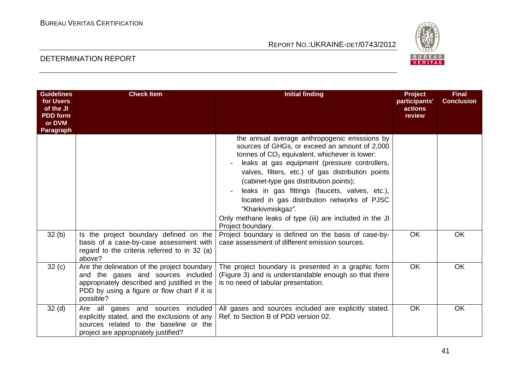

| <b>Guidelines</b><br>for Users<br>of the JI<br><b>PDD</b> form<br>or DVM<br>Paragraph | <b>Check Item</b>                                                                                                                                                                              | <b>Initial finding</b>                                                                                                                                                                                                                                                                                                                                                                                                                                                                                    | Project<br>participants'<br>actions<br>review | <b>Final</b><br><b>Conclusion</b> |
|---------------------------------------------------------------------------------------|------------------------------------------------------------------------------------------------------------------------------------------------------------------------------------------------|-----------------------------------------------------------------------------------------------------------------------------------------------------------------------------------------------------------------------------------------------------------------------------------------------------------------------------------------------------------------------------------------------------------------------------------------------------------------------------------------------------------|-----------------------------------------------|-----------------------------------|
|                                                                                       |                                                                                                                                                                                                | the annual average anthropogenic emissions by<br>sources of GHGs, or exceed an amount of 2,000<br>tonnes of $CO2$ equivalent, whichever is lower:<br>leaks at gas equipment (pressure controllers,<br>valves, filters, etc.) of gas distribution points<br>(cabinet-type gas distribution points);<br>leaks in gas fittings (faucets, valves, etc.),<br>located in gas distribution networks of PJSC<br>"Kharkivmiskgaz".<br>Only methane leaks of type (iii) are included in the JI<br>Project boundary. |                                               |                                   |
| 32(b)                                                                                 | Is the project boundary defined on the<br>basis of a case-by-case assessment with<br>regard to the criteria referred to in 32 (a)<br>above?                                                    | Project boundary is defined on the basis of case-by-<br>case assessment of different emission sources.                                                                                                                                                                                                                                                                                                                                                                                                    | <b>OK</b>                                     | <b>OK</b>                         |
| 32(c)                                                                                 | Are the delineation of the project boundary<br>and the gases and sources included<br>appropriately described and justified in the<br>PDD by using a figure or flow chart if it is<br>possible? | The project boundary is presented in a graphic form<br>(Figure 3) and is understandable enough so that there<br>is no need of tabular presentation.                                                                                                                                                                                                                                                                                                                                                       | <b>OK</b>                                     | <b>OK</b>                         |
| 32 <sub>(d)</sub>                                                                     | Are all gases and sources included<br>explicitly stated, and the exclusions of any<br>sources related to the baseline or the<br>project are appropriately justified?                           | All gases and sources included are explicitly stated.<br>Ref. to Section B of PDD version 02.                                                                                                                                                                                                                                                                                                                                                                                                             | OK                                            | OK                                |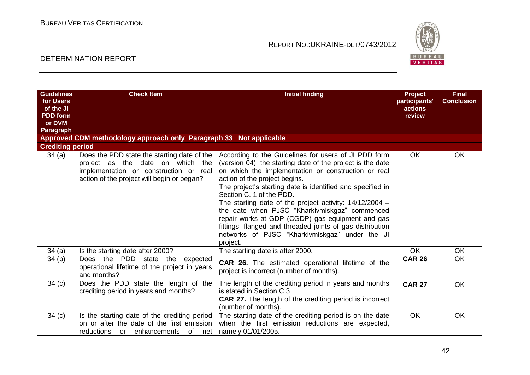

| <b>Guidelines</b>       | <b>Check Item</b>                                                                                                                                                       | <b>Initial finding</b>                                                                                                                                                                                                                                                                                                                                                                                                                                                                                                                                                                            | <b>Project</b>           | <b>Final</b>      |
|-------------------------|-------------------------------------------------------------------------------------------------------------------------------------------------------------------------|---------------------------------------------------------------------------------------------------------------------------------------------------------------------------------------------------------------------------------------------------------------------------------------------------------------------------------------------------------------------------------------------------------------------------------------------------------------------------------------------------------------------------------------------------------------------------------------------------|--------------------------|-------------------|
| for Users<br>of the JI  |                                                                                                                                                                         |                                                                                                                                                                                                                                                                                                                                                                                                                                                                                                                                                                                                   | participants'<br>actions | <b>Conclusion</b> |
| <b>PDD</b> form         |                                                                                                                                                                         |                                                                                                                                                                                                                                                                                                                                                                                                                                                                                                                                                                                                   | review                   |                   |
| or DVM                  |                                                                                                                                                                         |                                                                                                                                                                                                                                                                                                                                                                                                                                                                                                                                                                                                   |                          |                   |
| <b>Paragraph</b>        |                                                                                                                                                                         |                                                                                                                                                                                                                                                                                                                                                                                                                                                                                                                                                                                                   |                          |                   |
|                         | Approved CDM methodology approach only_Paragraph 33_ Not applicable                                                                                                     |                                                                                                                                                                                                                                                                                                                                                                                                                                                                                                                                                                                                   |                          |                   |
| <b>Crediting period</b> |                                                                                                                                                                         |                                                                                                                                                                                                                                                                                                                                                                                                                                                                                                                                                                                                   |                          |                   |
| 34(a)                   | Does the PDD state the starting date of the<br>project as the date on which the<br>implementation or construction or real<br>action of the project will begin or began? | According to the Guidelines for users of JI PDD form<br>(version 04), the starting date of the project is the date<br>on which the implementation or construction or real<br>action of the project begins.<br>The project's starting date is identified and specified in<br>Section C. 1 of the PDD.<br>The starting date of the project activity: $14/12/2004 -$<br>the date when PJSC "Kharkivmiskgaz" commenced<br>repair works at GDP (CGDP) gas equipment and gas<br>fittings, flanged and threaded joints of gas distribution<br>networks of PJSC "Kharkivmiskgaz" under the JI<br>project. | <b>OK</b>                | <b>OK</b>         |
| 34(a)                   | Is the starting date after 2000?                                                                                                                                        | The starting date is after 2000.                                                                                                                                                                                                                                                                                                                                                                                                                                                                                                                                                                  | <b>OK</b>                | <b>OK</b>         |
| 34(b)                   | Does the PDD state the expected<br>operational lifetime of the project in years<br>and months?                                                                          | <b>CAR 26.</b> The estimated operational lifetime of the<br>project is incorrect (number of months).                                                                                                                                                                                                                                                                                                                                                                                                                                                                                              | <b>CAR 26</b>            | <b>OK</b>         |
| 34(c)                   | Does the PDD state the length of the<br>crediting period in years and months?                                                                                           | The length of the crediting period in years and months<br>is stated in Section C.3.<br><b>CAR 27.</b> The length of the crediting period is incorrect<br>(number of months).                                                                                                                                                                                                                                                                                                                                                                                                                      | <b>CAR 27</b>            | <b>OK</b>         |
| 34(c)                   | Is the starting date of the crediting period<br>on or after the date of the first emission<br>reductions or enhancements of net                                         | The starting date of the crediting period is on the date<br>when the first emission reductions are expected,<br>namely 01/01/2005.                                                                                                                                                                                                                                                                                                                                                                                                                                                                | <b>OK</b>                | <b>OK</b>         |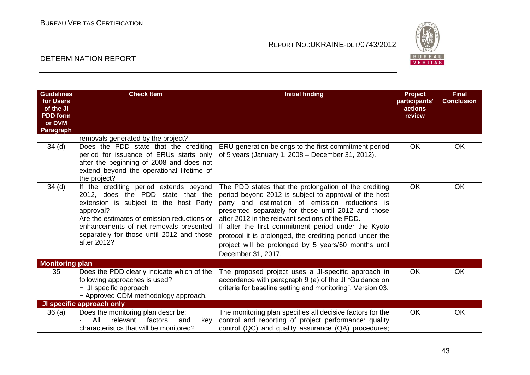

| <b>Guidelines</b><br>for Users<br>of the JI<br><b>PDD</b> form<br>or DVM<br><b>Paragraph</b> | <b>Check Item</b>                                                                                                                                                                                                                                                                       | <b>Initial finding</b>                                                                                                                                                                                                                                                                                                                                                                                                                                                       | <b>Project</b><br>participants'<br>actions<br>review | <b>Final</b><br><b>Conclusion</b> |
|----------------------------------------------------------------------------------------------|-----------------------------------------------------------------------------------------------------------------------------------------------------------------------------------------------------------------------------------------------------------------------------------------|------------------------------------------------------------------------------------------------------------------------------------------------------------------------------------------------------------------------------------------------------------------------------------------------------------------------------------------------------------------------------------------------------------------------------------------------------------------------------|------------------------------------------------------|-----------------------------------|
|                                                                                              | removals generated by the project?                                                                                                                                                                                                                                                      |                                                                                                                                                                                                                                                                                                                                                                                                                                                                              |                                                      |                                   |
| 34 <sub>(d)</sub>                                                                            | Does the PDD state that the crediting<br>period for issuance of ERUs starts only<br>after the beginning of 2008 and does not<br>extend beyond the operational lifetime of<br>the project?                                                                                               | ERU generation belongs to the first commitment period<br>of 5 years (January 1, 2008 – December 31, 2012).                                                                                                                                                                                                                                                                                                                                                                   | <b>OK</b>                                            | <b>OK</b>                         |
| 34 <sub>(d)</sub>                                                                            | If the crediting period extends beyond<br>2012, does the PDD state that the<br>extension is subject to the host Party<br>approval?<br>Are the estimates of emission reductions or<br>enhancements of net removals presented<br>separately for those until 2012 and those<br>after 2012? | The PDD states that the prolongation of the crediting<br>period beyond 2012 is subject to approval of the host<br>party and estimation of emission reductions is<br>presented separately for those until 2012 and those<br>after 2012 in the relevant sections of the PDD.<br>If after the first commitment period under the Kyoto<br>protocol it is prolonged, the crediting period under the<br>project will be prolonged by 5 years/60 months until<br>December 31, 2017. | <b>OK</b>                                            | <b>OK</b>                         |
| <b>Monitoring plan</b>                                                                       |                                                                                                                                                                                                                                                                                         |                                                                                                                                                                                                                                                                                                                                                                                                                                                                              |                                                      |                                   |
| 35                                                                                           | Does the PDD clearly indicate which of the<br>following approaches is used?<br>- JI specific approach<br>- Approved CDM methodology approach.                                                                                                                                           | The proposed project uses a JI-specific approach in<br>accordance with paragraph 9 (a) of the JI "Guidance on<br>criteria for baseline setting and monitoring", Version 03.                                                                                                                                                                                                                                                                                                  | <b>OK</b>                                            | <b>OK</b>                         |
|                                                                                              | JI specific approach only                                                                                                                                                                                                                                                               |                                                                                                                                                                                                                                                                                                                                                                                                                                                                              |                                                      |                                   |
| 36(a)                                                                                        | Does the monitoring plan describe:<br>All<br>relevant<br>factors<br>and<br>key<br>characteristics that will be monitored?                                                                                                                                                               | The monitoring plan specifies all decisive factors for the<br>control and reporting of project performance: quality<br>control (QC) and quality assurance (QA) procedures;                                                                                                                                                                                                                                                                                                   | <b>OK</b>                                            | OK                                |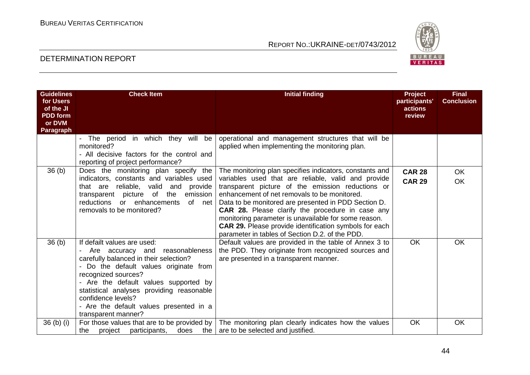

| <b>Guidelines</b><br>for Users | <b>Check Item</b>                                                                                                                                                                                                                                                                                                                                       | <b>Initial finding</b>                                                                                                                                                                                                                                                                                                                                                                                                                                                                                      | <b>Project</b><br>participants' | <b>Final</b><br><b>Conclusion</b> |
|--------------------------------|---------------------------------------------------------------------------------------------------------------------------------------------------------------------------------------------------------------------------------------------------------------------------------------------------------------------------------------------------------|-------------------------------------------------------------------------------------------------------------------------------------------------------------------------------------------------------------------------------------------------------------------------------------------------------------------------------------------------------------------------------------------------------------------------------------------------------------------------------------------------------------|---------------------------------|-----------------------------------|
| of the JI<br><b>PDD</b> form   |                                                                                                                                                                                                                                                                                                                                                         |                                                                                                                                                                                                                                                                                                                                                                                                                                                                                                             | actions<br>review               |                                   |
| or DVM<br>Paragraph            |                                                                                                                                                                                                                                                                                                                                                         |                                                                                                                                                                                                                                                                                                                                                                                                                                                                                                             |                                 |                                   |
|                                | The period in which they will be<br>monitored?<br>- All decisive factors for the control and<br>reporting of project performance?                                                                                                                                                                                                                       | operational and management structures that will be<br>applied when implementing the monitoring plan.                                                                                                                                                                                                                                                                                                                                                                                                        |                                 |                                   |
| 36(b)                          | Does the monitoring plan specify the<br>indicators, constants and variables used<br>that are reliable, valid and<br>provide<br>transparent picture of the<br>emission<br>reductions<br>or enhancements<br>of net<br>removals to be monitored?                                                                                                           | The monitoring plan specifies indicators, constants and<br>variables used that are reliable, valid and provide<br>transparent picture of the emission reductions or<br>enhancement of net removals to be monitored.<br>Data to be monitored are presented in PDD Section D.<br>CAR 28. Please clarify the procedure in case any<br>monitoring parameter is unavailable for some reason.<br><b>CAR 29.</b> Please provide identification symbols for each<br>parameter in tables of Section D.2. of the PDD. | <b>CAR 28</b><br><b>CAR 29</b>  | <b>OK</b><br><b>OK</b>            |
| 36 <sub>(b)</sub>              | If defailt values are used:<br>Are accuracy and reasonableness<br>carefully balanced in their selection?<br>- Do the default values originate from<br>recognized sources?<br>- Are the default values supported by<br>statistical analyses providing reasonable<br>confidence levels?<br>- Are the default values presented in a<br>transparent manner? | Default values are provided in the table of Annex 3 to<br>the PDD. They originate from recognized sources and<br>are presented in a transparent manner.                                                                                                                                                                                                                                                                                                                                                     | <b>OK</b>                       | OK                                |
| 36 (b) (i)                     | For those values that are to be provided by<br>does<br>the<br>the<br>project<br>participants,                                                                                                                                                                                                                                                           | The monitoring plan clearly indicates how the values<br>are to be selected and justified.                                                                                                                                                                                                                                                                                                                                                                                                                   | <b>OK</b>                       | OK                                |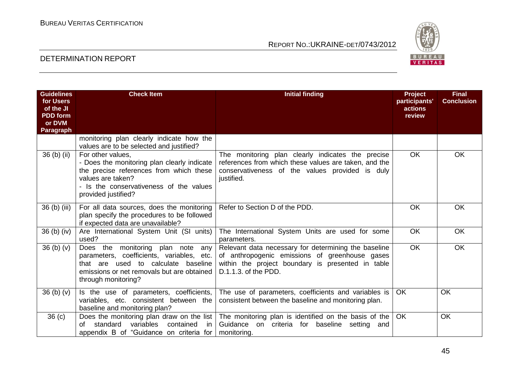

| <b>Guidelines</b><br>for Users<br>of the JI<br><b>PDD</b> form<br>or DVM<br>Paragraph | <b>Check Item</b>                                                                                                                                                                                  | <b>Initial finding</b>                                                                                                                                                              | <b>Project</b><br>participants'<br>actions<br>review | <b>Final</b><br><b>Conclusion</b> |
|---------------------------------------------------------------------------------------|----------------------------------------------------------------------------------------------------------------------------------------------------------------------------------------------------|-------------------------------------------------------------------------------------------------------------------------------------------------------------------------------------|------------------------------------------------------|-----------------------------------|
|                                                                                       | monitoring plan clearly indicate how the<br>values are to be selected and justified?                                                                                                               |                                                                                                                                                                                     |                                                      |                                   |
| 36 (b) (ii)                                                                           | For other values,<br>- Does the monitoring plan clearly indicate<br>the precise references from which these<br>values are taken?<br>- Is the conservativeness of the values<br>provided justified? | The monitoring plan clearly indicates the precise<br>references from which these values are taken, and the<br>conservativeness of the values provided is duly<br>justified.         | <b>OK</b>                                            | <b>OK</b>                         |
| 36 (b) (iii)                                                                          | For all data sources, does the monitoring<br>plan specify the procedures to be followed<br>if expected data are unavailable?                                                                       | Refer to Section D of the PDD.                                                                                                                                                      | <b>OK</b>                                            | <b>OK</b>                         |
| $36$ (b) (iv)                                                                         | Are International System Unit (SI units)<br>used?                                                                                                                                                  | The International System Units are used for some<br>parameters.                                                                                                                     | <b>OK</b>                                            | <b>OK</b>                         |
| 36 <sub>(b)</sub> <sub>(v)</sub>                                                      | Does the monitoring plan note<br>any<br>parameters, coefficients, variables, etc.<br>that are used to calculate baseline<br>emissions or net removals but are obtained<br>through monitoring?      | Relevant data necessary for determining the baseline<br>of anthropogenic emissions of greenhouse gases<br>within the project boundary is presented in table<br>D.1.1.3. of the PDD. | $\overline{OK}$                                      | <b>OK</b>                         |
| 36 <sub>(b)</sub> <sub>(v)</sub>                                                      | Is the use of parameters, coefficients,<br>variables, etc. consistent between the<br>baseline and monitoring plan?                                                                                 | The use of parameters, coefficients and variables is<br>consistent between the baseline and monitoring plan.                                                                        | <b>OK</b>                                            | OK                                |
| 36 <sub>(c)</sub>                                                                     | Does the monitoring plan draw on the list<br>variables<br>contained<br>standard<br>in<br>Ωf<br>appendix B of "Guidance on criteria for                                                             | The monitoring plan is identified on the basis of the<br>Guidance<br>on<br>criteria for baseline<br>setting<br>and<br>monitoring.                                                   | <b>OK</b>                                            | <b>OK</b>                         |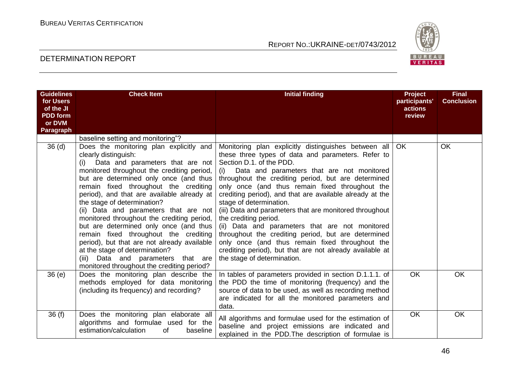

| <b>Guidelines</b><br>for Users<br>of the JI<br><b>PDD</b> form<br>or DVM<br>Paragraph | <b>Check Item</b>                                                                                                                                                                                                                                                                                                                                                                                                                                                                                                                                                                                                                                                       | <b>Initial finding</b>                                                                                                                                                                                                                                                                                                                                                                                                                                                                                                                                                                                                                                                                                                                   | <b>Project</b><br>participants'<br>actions<br>review | <b>Final</b><br><b>Conclusion</b> |
|---------------------------------------------------------------------------------------|-------------------------------------------------------------------------------------------------------------------------------------------------------------------------------------------------------------------------------------------------------------------------------------------------------------------------------------------------------------------------------------------------------------------------------------------------------------------------------------------------------------------------------------------------------------------------------------------------------------------------------------------------------------------------|------------------------------------------------------------------------------------------------------------------------------------------------------------------------------------------------------------------------------------------------------------------------------------------------------------------------------------------------------------------------------------------------------------------------------------------------------------------------------------------------------------------------------------------------------------------------------------------------------------------------------------------------------------------------------------------------------------------------------------------|------------------------------------------------------|-----------------------------------|
|                                                                                       | baseline setting and monitoring"?                                                                                                                                                                                                                                                                                                                                                                                                                                                                                                                                                                                                                                       |                                                                                                                                                                                                                                                                                                                                                                                                                                                                                                                                                                                                                                                                                                                                          |                                                      |                                   |
| 36 <sub>(d)</sub>                                                                     | Does the monitoring plan explicitly and<br>clearly distinguish:<br>Data and parameters that are not<br>(i)<br>monitored throughout the crediting period,<br>but are determined only once (and thus<br>remain fixed throughout the crediting<br>period), and that are available already at<br>the stage of determination?<br>(ii) Data and parameters that are not<br>monitored throughout the crediting period,<br>but are determined only once (and thus<br>remain fixed throughout the crediting<br>period), but that are not already available<br>at the stage of determination?<br>(iii) Data and parameters that are<br>monitored throughout the crediting period? | Monitoring plan explicitly distinguishes between all<br>these three types of data and parameters. Refer to<br>Section D.1. of the PDD.<br>Data and parameters that are not monitored<br>(i)<br>throughout the crediting period, but are determined<br>only once (and thus remain fixed throughout the<br>crediting period), and that are available already at the<br>stage of determination.<br>(iii) Data and parameters that are monitored throughout<br>the crediting period.<br>(ii) Data and parameters that are not monitored<br>throughout the crediting period, but are determined<br>only once (and thus remain fixed throughout the<br>crediting period), but that are not already available at<br>the stage of determination. | <b>OK</b>                                            | <b>OK</b>                         |
| 36(e)                                                                                 | Does the monitoring plan describe the<br>methods employed for data monitoring<br>(including its frequency) and recording?                                                                                                                                                                                                                                                                                                                                                                                                                                                                                                                                               | In tables of parameters provided in section D.1.1.1. of<br>the PDD the time of monitoring (frequency) and the<br>source of data to be used, as well as recording method<br>are indicated for all the monitored parameters and<br>data.                                                                                                                                                                                                                                                                                                                                                                                                                                                                                                   | <b>OK</b>                                            | <b>OK</b>                         |
| 36(f)                                                                                 | Does the monitoring plan elaborate all<br>algorithms and formulae used for the<br>estimation/calculation<br>0f<br>baseline                                                                                                                                                                                                                                                                                                                                                                                                                                                                                                                                              | All algorithms and formulae used for the estimation of<br>baseline and project emissions are indicated and<br>explained in the PDD. The description of formulae is                                                                                                                                                                                                                                                                                                                                                                                                                                                                                                                                                                       | OK                                                   | <b>OK</b>                         |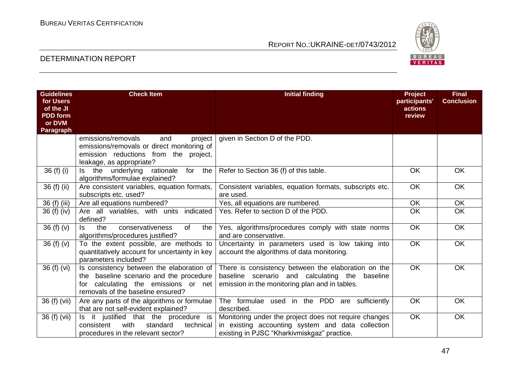

| <b>Guidelines</b><br>for Users | <b>Check Item</b>                                                                  | <b>Initial finding</b>                                  | Project<br>participants' | <b>Final</b><br><b>Conclusion</b> |
|--------------------------------|------------------------------------------------------------------------------------|---------------------------------------------------------|--------------------------|-----------------------------------|
| of the JI<br><b>PDD</b> form   |                                                                                    |                                                         | actions<br>review        |                                   |
| or DVM                         |                                                                                    |                                                         |                          |                                   |
| <b>Paragraph</b>               |                                                                                    |                                                         |                          |                                   |
|                                | emissions/removals<br>project<br>and<br>emissions/removals or direct monitoring of | given in Section D of the PDD.                          |                          |                                   |
|                                | emission reductions from the project,                                              |                                                         |                          |                                   |
|                                | leakage, as appropriate?                                                           |                                                         |                          |                                   |
| $36(f)$ (i)                    | Is the underlying<br>for<br>the<br>rationale                                       | Refer to Section 36 (f) of this table.                  | <b>OK</b>                | <b>OK</b>                         |
|                                | algorithms/formulae explained?                                                     |                                                         |                          |                                   |
| 36 (f) (ii)                    | Are consistent variables, equation formats,                                        | Consistent variables, equation formats, subscripts etc. | OK                       | <b>OK</b>                         |
|                                | subscripts etc. used?                                                              | are used.                                               |                          |                                   |
| 36 (f) (iii)                   | Are all equations numbered?                                                        | Yes, all equations are numbered.                        | <b>OK</b>                | <b>OK</b>                         |
| 36 (f) (iv)                    | Are all variables, with units indicated                                            | Yes. Refer to section D of the PDD.                     | OK                       | $\overline{OK}$                   |
|                                | defined?                                                                           |                                                         |                          |                                   |
| 36 $(f)(v)$                    | the<br>conservativeness<br>ls.<br><b>of</b><br>the                                 | Yes, algorithms/procedures comply with state norms      | OK                       | <b>OK</b>                         |
|                                | algorithms/procedures justified?                                                   | and are conservative.                                   | <b>OK</b>                |                                   |
| 36 $(f)(v)$                    | To the extent possible, are methods to                                             | Uncertainty in parameters used is low taking into       |                          | OK                                |
|                                | quantitatively account for uncertainty in key<br>parameters included?              | account the algorithms of data monitoring.              |                          |                                   |
| 36 (f) (vi)                    | Is consistency between the elaboration of                                          | There is consistency between the elaboration on the     | <b>OK</b>                | <b>OK</b>                         |
|                                | the baseline scenario and the procedure                                            | baseline scenario and calculating the<br>baseline       |                          |                                   |
|                                | calculating the emissions or net<br>for                                            | emission in the monitoring plan and in tables.          |                          |                                   |
|                                | removals of the baseline ensured?                                                  |                                                         |                          |                                   |
| 36 (f) (vii)                   | Are any parts of the algorithms or formulae                                        | The formulae used in the PDD are sufficiently           | OK                       | <b>OK</b>                         |
|                                | that are not self-evident explained?                                               | described.                                              |                          |                                   |
| 36 (f) (vii)                   | Is it justified that the procedure is                                              | Monitoring under the project does not require changes   | <b>OK</b>                | <b>OK</b>                         |
|                                | with<br>technical<br>consistent<br>standard                                        | in existing accounting system and data collection       |                          |                                   |
|                                | procedures in the relevant sector?                                                 | existing in PJSC "Kharkivmiskgaz" practice.             |                          |                                   |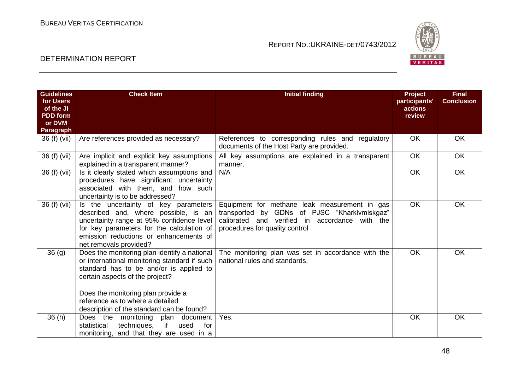

| <b>Guidelines</b><br>for Users | <b>Check Item</b>                                                                                                                                                                                                                                    | <b>Initial finding</b>                                                                                                                                                            | Project<br>participants' | <b>Final</b><br><b>Conclusion</b> |
|--------------------------------|------------------------------------------------------------------------------------------------------------------------------------------------------------------------------------------------------------------------------------------------------|-----------------------------------------------------------------------------------------------------------------------------------------------------------------------------------|--------------------------|-----------------------------------|
| of the JI<br><b>PDD</b> form   |                                                                                                                                                                                                                                                      |                                                                                                                                                                                   | actions<br>review        |                                   |
| or DVM                         |                                                                                                                                                                                                                                                      |                                                                                                                                                                                   |                          |                                   |
| Paragraph                      |                                                                                                                                                                                                                                                      |                                                                                                                                                                                   |                          |                                   |
| 36 (f) (vii)                   | Are references provided as necessary?                                                                                                                                                                                                                | References to corresponding rules and regulatory<br>documents of the Host Party are provided.                                                                                     | OK                       | OK                                |
| 36 (f) (vii)                   | Are implicit and explicit key assumptions<br>explained in a transparent manner?                                                                                                                                                                      | All key assumptions are explained in a transparent<br>manner.                                                                                                                     | $\overline{OK}$          | <b>OK</b>                         |
| 36 (f) (vii)                   | Is it clearly stated which assumptions and<br>procedures have significant uncertainty<br>associated with them, and how such<br>uncertainty is to be addressed?                                                                                       | N/A                                                                                                                                                                               | <b>OK</b>                | <b>OK</b>                         |
| 36 (f) (vii)                   | Is the uncertainty of key parameters<br>described and, where possible, is an<br>uncertainty range at 95% confidence level<br>for key parameters for the calculation of<br>emission reductions or enhancements of<br>net removals provided?           | Equipment for methane leak measurement in gas<br>transported by GDNs of PJSC "Kharkivmiskgaz"<br>calibrated and verified in accordance with the<br>procedures for quality control | <b>OK</b>                | OK                                |
| $\overline{36}$ (g)            | Does the monitoring plan identify a national<br>or international monitoring standard if such<br>standard has to be and/or is applied to<br>certain aspects of the project?<br>Does the monitoring plan provide a<br>reference as to where a detailed | The monitoring plan was set in accordance with the<br>national rules and standards.                                                                                               | <b>OK</b>                | <b>OK</b>                         |
|                                | description of the standard can be found?                                                                                                                                                                                                            |                                                                                                                                                                                   |                          |                                   |
| 36(h)                          | Does the monitoring plan document<br>if<br>used<br>for<br>statistical<br>techniques,<br>monitoring, and that they are used in a                                                                                                                      | Yes.                                                                                                                                                                              | <b>OK</b>                | <b>OK</b>                         |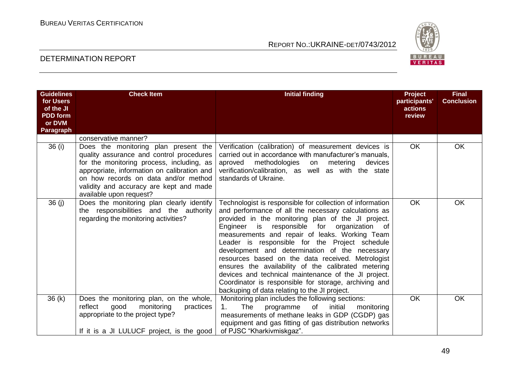

| <b>Guidelines</b><br>for Users<br>of the JI<br><b>PDD</b> form<br>or DVM<br><b>Paragraph</b> | <b>Check Item</b>                                                                                                                                                                                                                                                                          | <b>Initial finding</b>                                                                                                                                                                                                                                                                                                                                                                                                                                                                                                                                                                                                                                              | <b>Project</b><br>participants'<br>actions<br>review | <b>Final</b><br><b>Conclusion</b> |
|----------------------------------------------------------------------------------------------|--------------------------------------------------------------------------------------------------------------------------------------------------------------------------------------------------------------------------------------------------------------------------------------------|---------------------------------------------------------------------------------------------------------------------------------------------------------------------------------------------------------------------------------------------------------------------------------------------------------------------------------------------------------------------------------------------------------------------------------------------------------------------------------------------------------------------------------------------------------------------------------------------------------------------------------------------------------------------|------------------------------------------------------|-----------------------------------|
|                                                                                              | conservative manner?                                                                                                                                                                                                                                                                       |                                                                                                                                                                                                                                                                                                                                                                                                                                                                                                                                                                                                                                                                     |                                                      |                                   |
| 36(i)                                                                                        | Does the monitoring plan present the<br>quality assurance and control procedures<br>for the monitoring process, including, as<br>appropriate, information on calibration and<br>on how records on data and/or method<br>validity and accuracy are kept and made<br>available upon request? | Verification (calibration) of measurement devices is<br>carried out in accordance with manufacturer's manuals.<br>methodologies<br>aproved<br>metering<br>on<br>devices<br>verification/calibration, as well as with the state<br>standards of Ukraine.                                                                                                                                                                                                                                                                                                                                                                                                             | <b>OK</b>                                            | <b>OK</b>                         |
| 36(j)                                                                                        | Does the monitoring plan clearly identify<br>the responsibilities and the authority<br>regarding the monitoring activities?                                                                                                                                                                | Technologist is responsible for collection of information<br>and performance of all the necessary calculations as<br>provided in the monitoring plan of the JI project.<br>responsible for organization of<br>Engineer<br>is is<br>measurements and repair of leaks. Working Team<br>Leader is responsible for the Project schedule<br>development and determination of the necessary<br>resources based on the data received. Metrologist<br>ensures the availability of the calibrated metering<br>devices and technical maintenance of the JI project.<br>Coordinator is responsible for storage, archiving and<br>backuping of data relating to the JI project. | <b>OK</b>                                            | OK                                |
| 36(k)                                                                                        | Does the monitoring plan, on the whole,<br>monitoring<br>reflect<br>good<br>practices<br>appropriate to the project type?<br>If it is a JI LULUCF project, is the good                                                                                                                     | Monitoring plan includes the following sections:<br>1.<br>The<br>initial<br>of<br>programme<br>monitoring<br>measurements of methane leaks in GDP (CGDP) gas<br>equipment and gas fitting of gas distribution networks<br>of PJSC "Kharkivmiskgaz".                                                                                                                                                                                                                                                                                                                                                                                                                 | <b>OK</b>                                            | <b>OK</b>                         |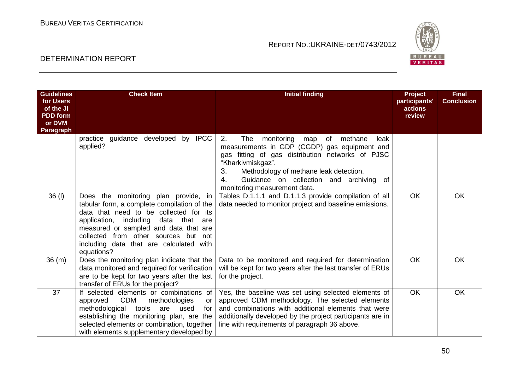

| <b>Guidelines</b><br>for Users<br>of the JI<br><b>PDD</b> form<br>or DVM<br>Paragraph | <b>Check Item</b>                                                                                                                                                                                                                                                                                                  | <b>Initial finding</b>                                                                                                                                                                                                                                                                                            | <b>Project</b><br>participants'<br>actions<br>review | <b>Final</b><br><b>Conclusion</b> |
|---------------------------------------------------------------------------------------|--------------------------------------------------------------------------------------------------------------------------------------------------------------------------------------------------------------------------------------------------------------------------------------------------------------------|-------------------------------------------------------------------------------------------------------------------------------------------------------------------------------------------------------------------------------------------------------------------------------------------------------------------|------------------------------------------------------|-----------------------------------|
|                                                                                       | guidance developed<br>by IPCC<br>practice<br>applied?                                                                                                                                                                                                                                                              | 2.<br>monitoring<br>methane<br>The<br>of<br>leak<br>map<br>measurements in GDP (CGDP) gas equipment and<br>gas fitting of gas distribution networks of PJSC<br>"Kharkivmiskgaz".<br>3.<br>Methodology of methane leak detection.<br>Guidance on collection and archiving of<br>4.<br>monitoring measurement data. |                                                      |                                   |
| $36$ (l)                                                                              | Does the monitoring plan provide, in<br>tabular form, a complete compilation of the<br>data that need to be collected for its<br>application, including<br>data that are<br>measured or sampled and data that are<br>collected from other sources but not<br>including data that are calculated with<br>equations? | Tables D.1.1.1 and D.1.1.3 provide compilation of all<br>data needed to monitor project and baseline emissions.                                                                                                                                                                                                   | <b>OK</b>                                            | OK                                |
| 36(m)                                                                                 | Does the monitoring plan indicate that the<br>data monitored and required for verification<br>are to be kept for two years after the last<br>transfer of ERUs for the project?                                                                                                                                     | Data to be monitored and required for determination<br>will be kept for two years after the last transfer of ERUs<br>for the project.                                                                                                                                                                             | OK                                                   | <b>OK</b>                         |
| 37                                                                                    | If selected elements or combinations of<br><b>CDM</b><br>methodologies<br>approved<br>or<br>methodological<br>tools<br>used<br>for<br>are<br>establishing the monitoring plan, are the<br>selected elements or combination, together<br>with elements supplementary developed by                                   | Yes, the baseline was set using selected elements of<br>approved CDM methodology. The selected elements<br>and combinations with additional elements that were<br>additionally developed by the project participants are in<br>line with requirements of paragraph 36 above.                                      | <b>OK</b>                                            | OK                                |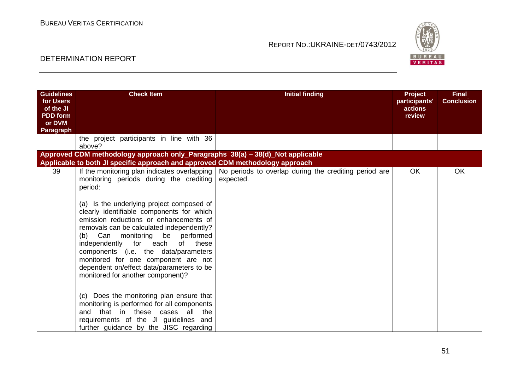

| <b>Guidelines</b> | <b>Check Item</b>                                                                                                                                                                                                                                                                      | <b>Initial finding</b>                                                                                            | <b>Project</b> | <b>Final</b>      |
|-------------------|----------------------------------------------------------------------------------------------------------------------------------------------------------------------------------------------------------------------------------------------------------------------------------------|-------------------------------------------------------------------------------------------------------------------|----------------|-------------------|
| for Users         |                                                                                                                                                                                                                                                                                        |                                                                                                                   | participants'  | <b>Conclusion</b> |
| of the JI         |                                                                                                                                                                                                                                                                                        |                                                                                                                   | actions        |                   |
| <b>PDD</b> form   |                                                                                                                                                                                                                                                                                        |                                                                                                                   | review         |                   |
| or DVM            |                                                                                                                                                                                                                                                                                        |                                                                                                                   |                |                   |
| Paragraph         |                                                                                                                                                                                                                                                                                        |                                                                                                                   |                |                   |
|                   | the project participants in line with 36<br>above?                                                                                                                                                                                                                                     |                                                                                                                   |                |                   |
|                   | Approved CDM methodology approach only_Paragraphs 38(a) - 38(d)_Not applicable                                                                                                                                                                                                         |                                                                                                                   |                |                   |
|                   | Applicable to both JI specific approach and approved CDM methodology approach                                                                                                                                                                                                          |                                                                                                                   |                |                   |
| 39                | monitoring periods during the crediting<br>period:<br>(a) Is the underlying project composed of<br>clearly identifiable components for which<br>emission reductions or enhancements of                                                                                                 | If the monitoring plan indicates overlapping   No periods to overlap during the crediting period are<br>expected. | <b>OK</b>      | <b>OK</b>         |
|                   | removals can be calculated independently?<br>(b) Can monitoring be performed<br>independently for each<br>of<br>these<br>components (i.e. the data/parameters<br>monitored for one component are not<br>dependent on/effect data/parameters to be<br>monitored for another component)? |                                                                                                                   |                |                   |
|                   | (c) Does the monitoring plan ensure that<br>monitoring is performed for all components<br>and that in these cases all the<br>requirements of the JI guidelines and<br>further guidance by the JISC regarding                                                                           |                                                                                                                   |                |                   |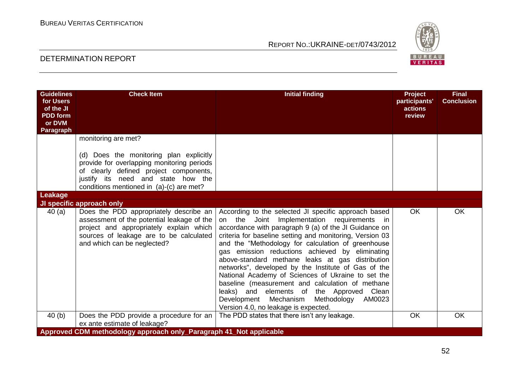

| <b>Guidelines</b><br>for Users<br>of the JI<br><b>PDD</b> form<br>or DVM<br>Paragraph | <b>Check Item</b>                                                                                                                                                                                                                                                     | <b>Initial finding</b>                                                                                                                                                                                                                                                                                                                                                                                                                                                                                                                                                                                                                                                                  | <b>Project</b><br>participants'<br>actions<br>review | <b>Final</b><br><b>Conclusion</b> |
|---------------------------------------------------------------------------------------|-----------------------------------------------------------------------------------------------------------------------------------------------------------------------------------------------------------------------------------------------------------------------|-----------------------------------------------------------------------------------------------------------------------------------------------------------------------------------------------------------------------------------------------------------------------------------------------------------------------------------------------------------------------------------------------------------------------------------------------------------------------------------------------------------------------------------------------------------------------------------------------------------------------------------------------------------------------------------------|------------------------------------------------------|-----------------------------------|
| Leakage                                                                               | monitoring are met?<br>(d) Does the monitoring plan explicitly<br>provide for overlapping monitoring periods<br>of clearly defined project components,<br>justify its need and state how the<br>conditions mentioned in (a)-(c) are met?<br>JI specific approach only |                                                                                                                                                                                                                                                                                                                                                                                                                                                                                                                                                                                                                                                                                         |                                                      |                                   |
| 40(a)                                                                                 | Does the PDD appropriately describe an<br>assessment of the potential leakage of the<br>project and appropriately explain which<br>sources of leakage are to be calculated<br>and which can be neglected?                                                             | According to the selected JI specific approach based<br>on the Joint Implementation requirements in<br>accordance with paragraph 9 (a) of the JI Guidance on<br>criteria for baseline setting and monitoring, Version 03<br>and the "Methodology for calculation of greenhouse<br>gas emission reductions achieved by eliminating<br>above-standard methane leaks at gas distribution<br>networks", developed by the Institute of Gas of the<br>National Academy of Sciences of Ukraine to set the<br>baseline (measurement and calculation of methane<br>leaks) and elements of the Approved Clean<br>Development Mechanism Methodology AM0023<br>Version 4.0, no leakage is expected. | <b>OK</b>                                            | <b>OK</b>                         |
| 40(b)                                                                                 | Does the PDD provide a procedure for an<br>ex ante estimate of leakage?                                                                                                                                                                                               | The PDD states that there isn't any leakage.                                                                                                                                                                                                                                                                                                                                                                                                                                                                                                                                                                                                                                            | <b>OK</b>                                            | <b>OK</b>                         |
|                                                                                       | Approved CDM methodology approach only_Paragraph 41_Not applicable                                                                                                                                                                                                    |                                                                                                                                                                                                                                                                                                                                                                                                                                                                                                                                                                                                                                                                                         |                                                      |                                   |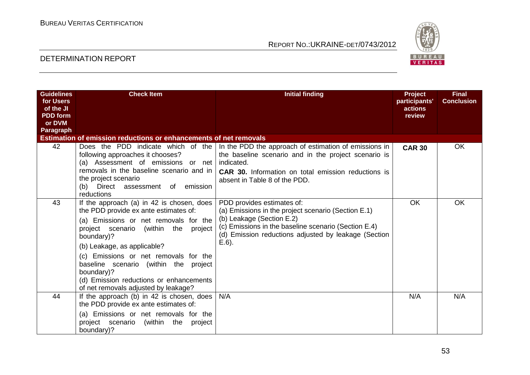

| <b>Guidelines</b><br>for Users<br>of the JI<br><b>PDD</b> form<br>or DVM | <b>Check Item</b>                                                                                                                                                                                                                                                                                                                                                                                   | <b>Initial finding</b>                                                                                                                                                                                                                     | <b>Project</b><br>participants'<br>actions<br>review | <b>Final</b><br><b>Conclusion</b> |
|--------------------------------------------------------------------------|-----------------------------------------------------------------------------------------------------------------------------------------------------------------------------------------------------------------------------------------------------------------------------------------------------------------------------------------------------------------------------------------------------|--------------------------------------------------------------------------------------------------------------------------------------------------------------------------------------------------------------------------------------------|------------------------------------------------------|-----------------------------------|
| Paragraph                                                                |                                                                                                                                                                                                                                                                                                                                                                                                     |                                                                                                                                                                                                                                            |                                                      |                                   |
|                                                                          | <b>Estimation of emission reductions or enhancements of net removals</b>                                                                                                                                                                                                                                                                                                                            |                                                                                                                                                                                                                                            |                                                      |                                   |
| 42                                                                       | Does the PDD indicate which of the<br>following approaches it chooses?<br>(a) Assessment of emissions or net<br>removals in the baseline scenario and in<br>the project scenario<br>(b) Direct assessment of emission<br>reductions                                                                                                                                                                 | In the PDD the approach of estimation of emissions in<br>the baseline scenario and in the project scenario is<br>indicated.<br><b>CAR 30.</b> Information on total emission reductions is<br>absent in Table 8 of the PDD.                 | <b>CAR 30</b>                                        | <b>OK</b>                         |
| 43                                                                       | If the approach (a) in 42 is chosen, does<br>the PDD provide ex ante estimates of:<br>(a) Emissions or net removals for the<br>project scenario (within the project<br>boundary)?<br>(b) Leakage, as applicable?<br>(c) Emissions or net removals for the<br>baseline scenario (within the project<br>boundary)?<br>(d) Emission reductions or enhancements<br>of net removals adjusted by leakage? | PDD provides estimates of:<br>(a) Emissions in the project scenario (Section E.1)<br>(b) Leakage (Section E.2)<br>(c) Emissions in the baseline scenario (Section E.4)<br>(d) Emission reductions adjusted by leakage (Section<br>$E.6$ ). | <b>OK</b>                                            | OK.                               |
| 44                                                                       | If the approach (b) in 42 is chosen, does<br>the PDD provide ex ante estimates of:<br>(a) Emissions or net removals for the<br>project scenario<br>(within the project)<br>boundary)?                                                                                                                                                                                                               | N/A                                                                                                                                                                                                                                        | N/A                                                  | N/A                               |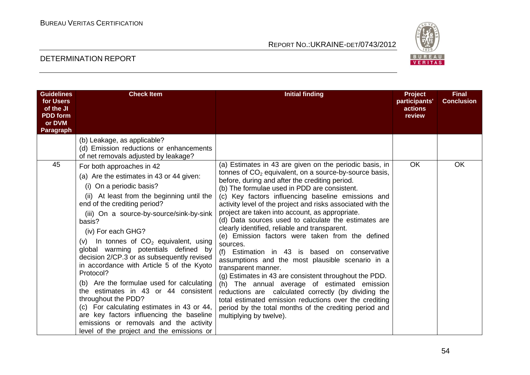

| <b>Guidelines</b><br>for Users<br>of the JI<br><b>PDD</b> form<br>or DVM<br>Paragraph | <b>Check Item</b>                                                                                                                                                                                                                                                                                                                                                                                                                                                                                                                                                                                                                                                                                                                                    | <b>Initial finding</b>                                                                                                                                                                                                                                                                                                                                                                                                                                                                                                                                                                                                                                                                                                                                                                                                                                                                                                                                                                                              | <b>Project</b><br>participants'<br>actions<br>review | <b>Final</b><br><b>Conclusion</b> |
|---------------------------------------------------------------------------------------|------------------------------------------------------------------------------------------------------------------------------------------------------------------------------------------------------------------------------------------------------------------------------------------------------------------------------------------------------------------------------------------------------------------------------------------------------------------------------------------------------------------------------------------------------------------------------------------------------------------------------------------------------------------------------------------------------------------------------------------------------|---------------------------------------------------------------------------------------------------------------------------------------------------------------------------------------------------------------------------------------------------------------------------------------------------------------------------------------------------------------------------------------------------------------------------------------------------------------------------------------------------------------------------------------------------------------------------------------------------------------------------------------------------------------------------------------------------------------------------------------------------------------------------------------------------------------------------------------------------------------------------------------------------------------------------------------------------------------------------------------------------------------------|------------------------------------------------------|-----------------------------------|
|                                                                                       | (b) Leakage, as applicable?<br>(d) Emission reductions or enhancements<br>of net removals adjusted by leakage?                                                                                                                                                                                                                                                                                                                                                                                                                                                                                                                                                                                                                                       |                                                                                                                                                                                                                                                                                                                                                                                                                                                                                                                                                                                                                                                                                                                                                                                                                                                                                                                                                                                                                     |                                                      |                                   |
| 45                                                                                    | For both approaches in 42<br>(a) Are the estimates in 43 or 44 given:<br>(i) On a periodic basis?<br>(ii) At least from the beginning until the<br>end of the crediting period?<br>(iii) On a source-by-source/sink-by-sink<br>basis?<br>(iv) For each GHG?<br>(v) In tonnes of $CO2$ equivalent, using<br>global warming potentials defined by<br>decision 2/CP.3 or as subsequently revised<br>in accordance with Article 5 of the Kyoto<br>Protocol?<br>(b) Are the formulae used for calculating<br>the estimates in 43 or 44 consistent<br>throughout the PDD?<br>(c) For calculating estimates in 43 or 44,<br>are key factors influencing the baseline<br>emissions or removals and the activity<br>level of the project and the emissions or | (a) Estimates in 43 are given on the periodic basis, in<br>tonnes of $CO2$ equivalent, on a source-by-source basis,<br>before, during and after the crediting period.<br>(b) The formulae used in PDD are consistent.<br>(c) Key factors influencing baseline emissions and<br>activity level of the project and risks associated with the<br>project are taken into account, as appropriate.<br>(d) Data sources used to calculate the estimates are<br>clearly identified, reliable and transparent.<br>(e) Emission factors were taken from the defined<br>sources.<br>(f) Estimation in 43 is based on conservative<br>assumptions and the most plausible scenario in a<br>transparent manner.<br>(g) Estimates in 43 are consistent throughout the PDD.<br>(h) The annual average of estimated emission<br>reductions are calculated correctly (by dividing the<br>total estimated emission reductions over the crediting<br>period by the total months of the crediting period and<br>multiplying by twelve). | <b>OK</b>                                            | <b>OK</b>                         |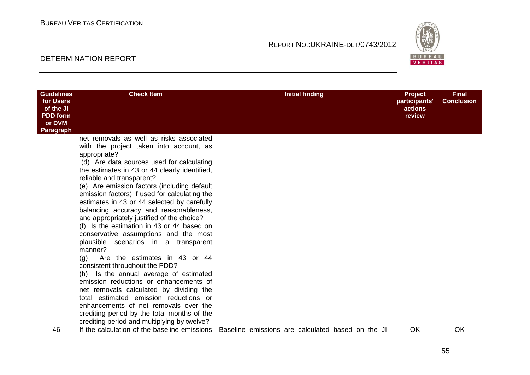

| <b>Guidelines</b><br>for Users<br>of the JI<br><b>PDD</b> form<br>or DVM<br>Paragraph | <b>Check Item</b>                                                                                                                                                                                                                                                                                                                                                                                                                                                                                                                                                                                                                                                                                                                                                                                                                                                                                                                                                                                         | <b>Initial finding</b>                             | <b>Project</b><br>participants'<br>actions<br>review | <b>Final</b><br><b>Conclusion</b> |
|---------------------------------------------------------------------------------------|-----------------------------------------------------------------------------------------------------------------------------------------------------------------------------------------------------------------------------------------------------------------------------------------------------------------------------------------------------------------------------------------------------------------------------------------------------------------------------------------------------------------------------------------------------------------------------------------------------------------------------------------------------------------------------------------------------------------------------------------------------------------------------------------------------------------------------------------------------------------------------------------------------------------------------------------------------------------------------------------------------------|----------------------------------------------------|------------------------------------------------------|-----------------------------------|
|                                                                                       | net removals as well as risks associated<br>with the project taken into account, as<br>appropriate?<br>(d) Are data sources used for calculating<br>the estimates in 43 or 44 clearly identified,<br>reliable and transparent?<br>(e) Are emission factors (including default<br>emission factors) if used for calculating the<br>estimates in 43 or 44 selected by carefully<br>balancing accuracy and reasonableness,<br>and appropriately justified of the choice?<br>(f) Is the estimation in 43 or 44 based on<br>conservative assumptions and the most<br>plausible scenarios in a transparent<br>manner?<br>(q)<br>Are the estimates in 43 or 44<br>consistent throughout the PDD?<br>(h) Is the annual average of estimated<br>emission reductions or enhancements of<br>net removals calculated by dividing the<br>total estimated emission reductions or<br>enhancements of net removals over the<br>crediting period by the total months of the<br>crediting period and multiplying by twelve? |                                                    |                                                      |                                   |
| 46                                                                                    | If the calculation of the baseline emissions                                                                                                                                                                                                                                                                                                                                                                                                                                                                                                                                                                                                                                                                                                                                                                                                                                                                                                                                                              | Baseline emissions are calculated based on the JI- | OK                                                   | OK                                |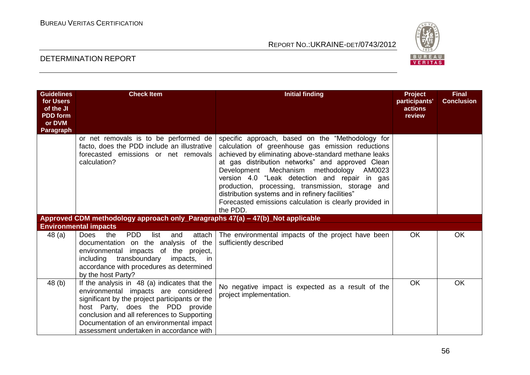

| <b>Guidelines</b><br>for Users<br>of the JI<br><b>PDD</b> form<br>or DVM<br>Paragraph | <b>Check Item</b>                                                                                                                                                                                                                                                                                                 | <b>Initial finding</b>                                                                                                                                                                                                                                                                                                                                                                                                                                                                         | Project<br>participants'<br>actions<br>review | <b>Final</b><br><b>Conclusion</b> |
|---------------------------------------------------------------------------------------|-------------------------------------------------------------------------------------------------------------------------------------------------------------------------------------------------------------------------------------------------------------------------------------------------------------------|------------------------------------------------------------------------------------------------------------------------------------------------------------------------------------------------------------------------------------------------------------------------------------------------------------------------------------------------------------------------------------------------------------------------------------------------------------------------------------------------|-----------------------------------------------|-----------------------------------|
|                                                                                       | or net removals is to be performed de<br>facto, does the PDD include an illustrative<br>forecasted emissions or net removals<br>calculation?                                                                                                                                                                      | specific approach, based on the "Methodology for<br>calculation of greenhouse gas emission reductions<br>achieved by eliminating above-standard methane leaks<br>at gas distribution networks" and approved Clean<br>Development Mechanism methodology AM0023<br>version 4.0 "Leak detection and repair in gas<br>production, processing, transmission, storage and<br>distribution systems and in refinery facilities"<br>Forecasted emissions calculation is clearly provided in<br>the PDD. |                                               |                                   |
|                                                                                       | Approved CDM methodology approach only_Paragraphs 47(a) - 47(b)_Not applicable<br><b>Environmental impacts</b>                                                                                                                                                                                                    |                                                                                                                                                                                                                                                                                                                                                                                                                                                                                                |                                               |                                   |
| 48 (a)                                                                                | <b>PDD</b><br>the<br>list<br><b>Does</b><br>and<br>attach<br>of the<br>documentation on the analysis<br>environmental impacts of the project,<br>including transboundary<br>impacts, in<br>accordance with procedures as determined<br>by the host Party?                                                         | The environmental impacts of the project have been<br>sufficiently described                                                                                                                                                                                                                                                                                                                                                                                                                   | <b>OK</b>                                     | OK                                |
| 48 (b)                                                                                | If the analysis in 48 (a) indicates that the<br>environmental impacts are considered<br>significant by the project participants or the<br>host Party, does the PDD provide<br>conclusion and all references to Supporting<br>Documentation of an environmental impact<br>assessment undertaken in accordance with | No negative impact is expected as a result of the<br>project implementation.                                                                                                                                                                                                                                                                                                                                                                                                                   | <b>OK</b>                                     | OK                                |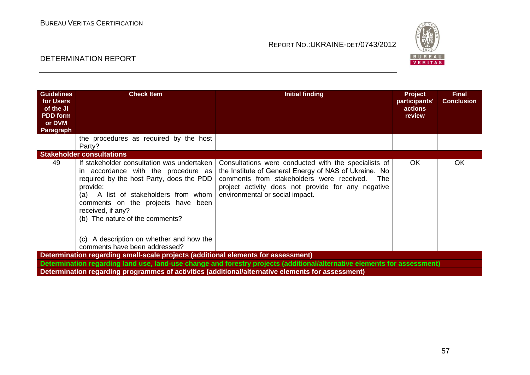

| <b>Guidelines</b><br>for Users<br>of the JI<br><b>PDD</b> form<br>or DVM<br>Paragraph | <b>Check Item</b>                                                                                                                                                                                                                                                               | <b>Initial finding</b>                                                                                                                                                                                                                                     | <b>Project</b><br>participants'<br>actions<br>review | <b>Final</b><br><b>Conclusion</b> |  |  |  |
|---------------------------------------------------------------------------------------|---------------------------------------------------------------------------------------------------------------------------------------------------------------------------------------------------------------------------------------------------------------------------------|------------------------------------------------------------------------------------------------------------------------------------------------------------------------------------------------------------------------------------------------------------|------------------------------------------------------|-----------------------------------|--|--|--|
|                                                                                       | the procedures as required by the host<br>Party?                                                                                                                                                                                                                                |                                                                                                                                                                                                                                                            |                                                      |                                   |  |  |  |
|                                                                                       | <b>Stakeholder consultations</b>                                                                                                                                                                                                                                                |                                                                                                                                                                                                                                                            |                                                      |                                   |  |  |  |
| 49                                                                                    | If stakeholder consultation was undertaken<br>in accordance with the procedure as<br>required by the host Party, does the PDD<br>provide:<br>(a) A list of stakeholders from whom<br>comments on the projects have been<br>received, if any?<br>(b) The nature of the comments? | Consultations were conducted with the specialists of<br>the Institute of General Energy of NAS of Ukraine. No<br>comments from stakeholders were received.<br>The<br>project activity does not provide for any negative<br>environmental or social impact. | <b>OK</b>                                            | OK                                |  |  |  |
|                                                                                       | (c) A description on whether and how the<br>comments have been addressed?                                                                                                                                                                                                       |                                                                                                                                                                                                                                                            |                                                      |                                   |  |  |  |
|                                                                                       | Determination regarding small-scale projects (additional elements for assessment)                                                                                                                                                                                               |                                                                                                                                                                                                                                                            |                                                      |                                   |  |  |  |
|                                                                                       |                                                                                                                                                                                                                                                                                 | Determination regarding land use, land-use change and forestry projects (additional/alternative elements for assessment)                                                                                                                                   |                                                      |                                   |  |  |  |
|                                                                                       | Determination regarding programmes of activities (additional/alternative elements for assessment)                                                                                                                                                                               |                                                                                                                                                                                                                                                            |                                                      |                                   |  |  |  |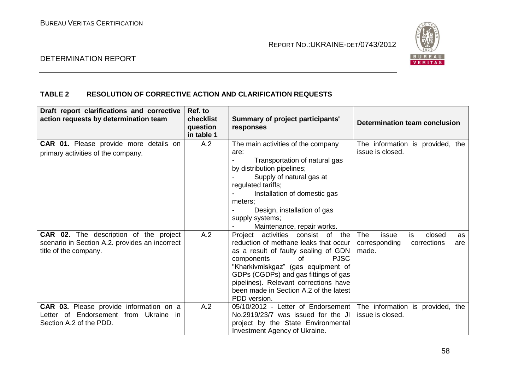

# DETERMINATION REPORT

# **TABLE 2 RESOLUTION OF CORRECTIVE ACTION AND CLARIFICATION REQUESTS**

| Draft report clarifications and corrective<br>action requests by determination team                                      | Ref. to<br><b>checklist</b><br>question<br>in table 1 | Summary of project participants'<br>responses                                                                                                                                                                                                                                                                                             | Determination team conclusion                                                      |
|--------------------------------------------------------------------------------------------------------------------------|-------------------------------------------------------|-------------------------------------------------------------------------------------------------------------------------------------------------------------------------------------------------------------------------------------------------------------------------------------------------------------------------------------------|------------------------------------------------------------------------------------|
| <b>CAR 01.</b> Please provide more details on<br>primary activities of the company.                                      | A.2                                                   | The main activities of the company<br>are:<br>Transportation of natural gas<br>by distribution pipelines;<br>Supply of natural gas at<br>regulated tariffs;<br>Installation of domestic gas<br>meters:<br>Design, installation of gas<br>supply systems;<br>Maintenance, repair works.                                                    | The information is provided, the<br>issue is closed.                               |
| <b>CAR 02.</b> The description of the project<br>scenario in Section A.2. provides an incorrect<br>title of the company. | A.2                                                   | Project activities consist of<br>the<br>reduction of methane leaks that occur<br>as a result of faulty sealing of GDN<br><b>PJSC</b><br>components<br>of<br>"Kharkivmiskgaz" (gas equipment of<br>GDPs (CGDPs) and gas fittings of gas<br>pipelines). Relevant corrections have<br>been made in Section A.2 of the latest<br>PDD version. | The<br>issue<br>is<br>closed<br>as<br>corresponding<br>corrections<br>are<br>made. |
| <b>CAR 03.</b> Please provide information on a<br>Letter of Endorsement from Ukraine in<br>Section A.2 of the PDD.       | A.2                                                   | 05/10/2012 - Letter of Endorsement<br>No.2919/23/7 was issued for the JI<br>project by the State Environmental<br>Investment Agency of Ukraine.                                                                                                                                                                                           | The information is provided, the<br>issue is closed.                               |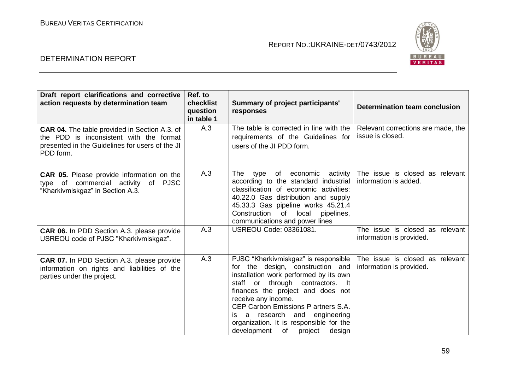

| Draft report clarifications and corrective<br>action requests by determination team                                                                             | Ref. to<br>checklist<br>question<br>in table 1 | Summary of project participants'<br>responses                                                                                                                                                                                                                                                                                                                                         | Determination team conclusion                               |
|-----------------------------------------------------------------------------------------------------------------------------------------------------------------|------------------------------------------------|---------------------------------------------------------------------------------------------------------------------------------------------------------------------------------------------------------------------------------------------------------------------------------------------------------------------------------------------------------------------------------------|-------------------------------------------------------------|
| <b>CAR 04.</b> The table provided in Section A.3. of<br>the PDD is inconsistent with the format<br>presented in the Guidelines for users of the JI<br>PDD form. | A.3                                            | The table is corrected in line with the<br>requirements of the Guidelines for<br>users of the JI PDD form.                                                                                                                                                                                                                                                                            | Relevant corrections are made, the<br>issue is closed.      |
| <b>CAR 05.</b> Please provide information on the<br>type of commercial activity of PJSC<br>"Kharkivmiskgaz" in Section A.3.                                     | A.3                                            | of economic<br>activity<br>The<br>type<br>according to the standard industrial  <br>classification of economic activities:<br>40.22.0 Gas distribution and supply<br>45.33.3 Gas pipeline works 45.21.4<br>of local<br>Construction<br>pipelines,<br>communications and power lines                                                                                                   | The issue is closed as relevant<br>information is added.    |
| <b>CAR 06.</b> In PDD Section A.3. please provide<br>USREOU code of PJSC "Kharkivmiskgaz".                                                                      | A.3                                            | <b>USREOU Code: 03361081.</b>                                                                                                                                                                                                                                                                                                                                                         | The issue is closed as relevant<br>information is provided. |
| <b>CAR 07.</b> In PDD Section A.3. please provide<br>information on rights and liabilities of the<br>parties under the project.                                 | A.3                                            | PJSC "Kharkivmiskgaz" is responsible  <br>for the design, construction and<br>installation work performed by its own<br>staff or through contractors. It<br>finances the project and does not<br>receive any income.<br>CEP Carbon Emissions P artners S.A.<br>a research and engineering<br>İS.<br>organization. It is responsible for the<br>development<br>of<br>project<br>design | The issue is closed as relevant<br>information is provided. |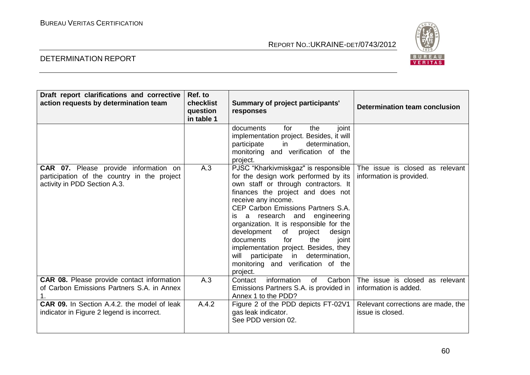

| Draft report clarifications and corrective<br>action requests by determination team                                         | Ref. to<br>checklist<br>question<br>in table 1 | Summary of project participants'<br>responses                                                                                                                                                                                                                                                                                                                                                                                                                                                                     | Determination team conclusion                               |
|-----------------------------------------------------------------------------------------------------------------------------|------------------------------------------------|-------------------------------------------------------------------------------------------------------------------------------------------------------------------------------------------------------------------------------------------------------------------------------------------------------------------------------------------------------------------------------------------------------------------------------------------------------------------------------------------------------------------|-------------------------------------------------------------|
|                                                                                                                             |                                                | joint<br>documents<br>for<br>the<br>implementation project. Besides, it will<br>determination,<br>participate<br>in<br>monitoring and verification of the<br>project.                                                                                                                                                                                                                                                                                                                                             |                                                             |
| <b>CAR 07.</b> Please provide information on<br>participation of the country in the project<br>activity in PDD Section A.3. | A.3                                            | PJSC "Kharkivmiskgaz" is responsible<br>for the design work performed by its<br>own staff or through contractors. It<br>finances the project and does not<br>receive any income.<br>CEP Carbon Emissions Partners S.A.<br>is a research and engineering<br>organization. It is responsible for the<br>development<br>of project<br>design<br>documents<br>the<br>for<br>joint<br>implementation project. Besides, they<br>participate in determination,<br>will<br>monitoring and verification of the<br>project. | The issue is closed as relevant<br>information is provided. |
| CAR 08. Please provide contact information<br>of Carbon Emissions Partners S.A. in Annex                                    | A.3                                            | information<br>Carbon<br>Contact<br>of<br>Emissions Partners S.A. is provided in<br>Annex 1 to the PDD?                                                                                                                                                                                                                                                                                                                                                                                                           | The issue is closed as relevant<br>information is added.    |
| <b>CAR 09.</b> In Section A.4.2, the model of leak<br>indicator in Figure 2 legend is incorrect.                            | A.4.2                                          | Figure 2 of the PDD depicts FT-02V1<br>gas leak indicator.<br>See PDD version 02.                                                                                                                                                                                                                                                                                                                                                                                                                                 | Relevant corrections are made, the<br>issue is closed.      |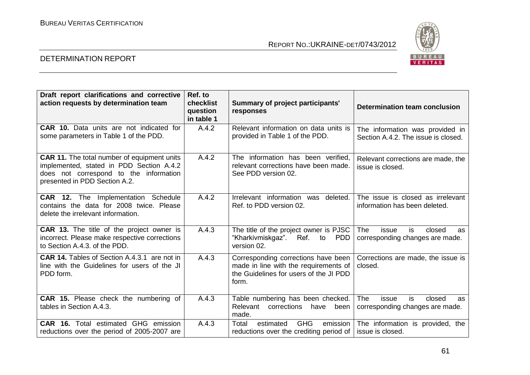

| Draft report clarifications and corrective<br>action requests by determination team                                                                                       | Ref. to<br>checklist<br>question<br>in table 1 | Summary of project participants'<br>responses                                                                                   | Determination team conclusion                                                |
|---------------------------------------------------------------------------------------------------------------------------------------------------------------------------|------------------------------------------------|---------------------------------------------------------------------------------------------------------------------------------|------------------------------------------------------------------------------|
| <b>CAR 10.</b> Data units are not indicated for<br>some parameters in Table 1 of the PDD.                                                                                 | A.4.2                                          | Relevant information on data units is<br>provided in Table 1 of the PDD.                                                        | The information was provided in<br>Section A.4.2. The issue is closed.       |
| <b>CAR 11.</b> The total number of equipment units<br>implemented, stated in PDD Section A.4.2<br>does not correspond to the information<br>presented in PDD Section A.2. | A.4.2                                          | The information has been verified,<br>relevant corrections have been made.<br>See PDD version 02.                               | Relevant corrections are made, the<br>issue is closed.                       |
| <b>CAR 12.</b> The Implementation Schedule<br>contains the data for 2008 twice. Please<br>delete the irrelevant information.                                              | A.4.2                                          | Irrelevant information was<br>deleted.<br>Ref. to PDD version 02.                                                               | The issue is closed as irrelevant<br>information has been deleted.           |
| <b>CAR 13.</b> The title of the project owner is<br>incorrect. Please make respective corrections<br>to Section A.4.3, of the PDD.                                        | A.4.3                                          | The title of the project owner is PJSC<br>"Kharkivmiskgaz". Ref. to<br>PDD.<br>version 02.                                      | <b>The</b><br>is<br>issue<br>closed<br>as<br>corresponding changes are made. |
| <b>CAR 14.</b> Tables of Section A.4.3.1 are not in<br>line with the Guidelines for users of the JI<br>PDD form.                                                          | A.4.3                                          | Corresponding corrections have been<br>made in line with the requirements of<br>the Guidelines for users of the JI PDD<br>form. | Corrections are made, the issue is<br>closed.                                |
| CAR 15. Please check the numbering of<br>tables in Section A.4.3.                                                                                                         | A.4.3                                          | Table numbering has been checked.<br>Relevant<br>corrections<br>have<br>been<br>made.                                           | <b>The</b><br>issue<br>is<br>closed<br>as<br>corresponding changes are made. |
| <b>CAR 16.</b> Total estimated GHG emission<br>reductions over the period of 2005-2007 are                                                                                | A.4.3                                          | <b>GHG</b><br>Total<br>estimated<br>emission<br>reductions over the crediting period of                                         | The information is provided, the<br>issue is closed.                         |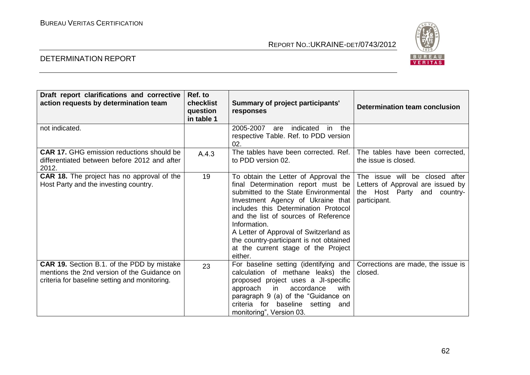

| Draft report clarifications and corrective<br>action requests by determination team                                                               | Ref. to<br>checklist<br>question<br>in table 1 | Summary of project participants'<br>responses                                                                                                                                                                                                                                                                                                                                                                                 | Determination team conclusion                                                    |
|---------------------------------------------------------------------------------------------------------------------------------------------------|------------------------------------------------|-------------------------------------------------------------------------------------------------------------------------------------------------------------------------------------------------------------------------------------------------------------------------------------------------------------------------------------------------------------------------------------------------------------------------------|----------------------------------------------------------------------------------|
| not indicated.                                                                                                                                    |                                                | 2005-2007<br>indicated<br>in the<br>are<br>respective Table. Ref. to PDD version<br>02.                                                                                                                                                                                                                                                                                                                                       |                                                                                  |
| <b>CAR 17.</b> GHG emission reductions should be<br>differentiated between before 2012 and after<br>2012.                                         | A.4.3                                          | The tables have been corrected. Ref.  <br>to PDD version 02.                                                                                                                                                                                                                                                                                                                                                                  | The tables have been corrected,<br>the issue is closed.                          |
| <b>CAR 18.</b> The project has no approval of the<br>Host Party and the investing country.                                                        | 19                                             | To obtain the Letter of Approval the The issue will be closed after<br>final Determination report must be<br>submitted to the State Environmental<br>Investment Agency of Ukraine that<br>includes this Determination Protocol<br>and the list of sources of Reference<br>Information.<br>A Letter of Approval of Switzerland as<br>the country-participant is not obtained<br>at the current stage of the Project<br>either. | Letters of Approval are issued by<br>the Host Party and country-<br>participant. |
| <b>CAR 19.</b> Section B.1. of the PDD by mistake<br>mentions the 2nd version of the Guidance on<br>criteria for baseline setting and monitoring. | 23                                             | For baseline setting (identifying and<br>calculation of methane leaks) the<br>proposed project uses a JI-specific<br>approach in<br>accordance<br>with<br>paragraph 9 (a) of the "Guidance on<br>criteria for baseline setting<br>and<br>monitoring", Version 03.                                                                                                                                                             | Corrections are made, the issue is<br>closed.                                    |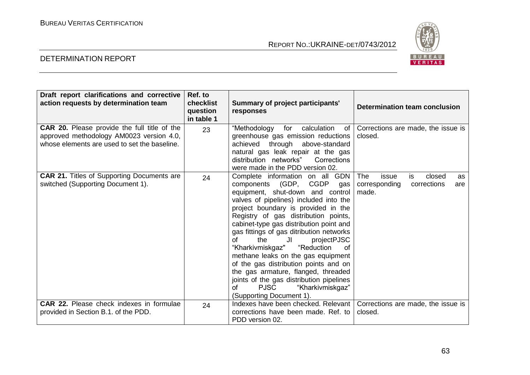

| Draft report clarifications and corrective<br>action requests by determination team                                                      | Ref. to<br>checklist<br>question<br>in table 1 | Summary of project participants'<br>responses                                                                                                                                                                                                                                                                                                                                                                                                                                                                                                                                                                                     | <b>Determination team conclusion</b>                                                      |
|------------------------------------------------------------------------------------------------------------------------------------------|------------------------------------------------|-----------------------------------------------------------------------------------------------------------------------------------------------------------------------------------------------------------------------------------------------------------------------------------------------------------------------------------------------------------------------------------------------------------------------------------------------------------------------------------------------------------------------------------------------------------------------------------------------------------------------------------|-------------------------------------------------------------------------------------------|
| CAR 20. Please provide the full title of the<br>approved methodology AM0023 version 4.0,<br>whose elements are used to set the baseline. | 23                                             | "Methodology for<br>calculation<br>of I<br>greenhouse gas emission reductions<br>achieved through above-standard<br>natural gas leak repair at the gas<br>distribution networks"<br>Corrections<br>were made in the PDD version 02.                                                                                                                                                                                                                                                                                                                                                                                               | Corrections are made, the issue is<br>closed.                                             |
| <b>CAR 21.</b> Titles of Supporting Documents are<br>switched (Supporting Document 1).                                                   | 24                                             | Complete information on all GDN<br>components (GDP, CGDP<br>gas<br>equipment, shut-down and control<br>valves of pipelines) included into the<br>project boundary is provided in the<br>Registry of gas distribution points,<br>cabinet-type gas distribution point and<br>gas fittings of gas ditribution networks<br>of<br>the<br>JI<br>projectPJSC<br>"Kharkivmiskgaz" "Reduction<br>0f<br>methane leaks on the gas equipment<br>of the gas distribution points and on<br>the gas armature, flanged, threaded<br>joints of the gas distribution pipelines<br><b>PJSC</b><br>"Kharkivmiskgaz"<br>of<br>(Supporting Document 1). | <b>The</b><br>is<br>closed<br>issue<br>as<br>corresponding<br>corrections<br>are<br>made. |
| <b>CAR 22.</b> Please check indexes in formulae<br>provided in Section B.1. of the PDD.                                                  | 24                                             | Indexes have been checked. Relevant  <br>corrections have been made. Ref. to<br>PDD version 02.                                                                                                                                                                                                                                                                                                                                                                                                                                                                                                                                   | Corrections are made, the issue is<br>closed.                                             |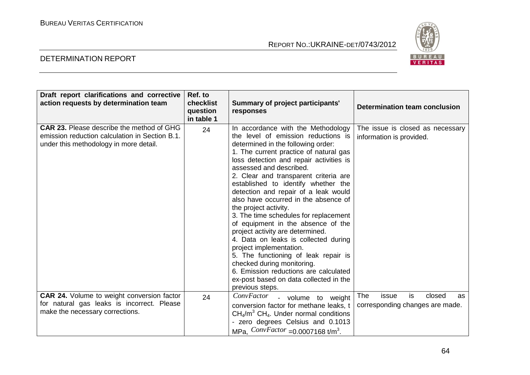

| Draft report clarifications and corrective<br>action requests by determination team                                                          | Ref. to<br>checklist<br>question<br>in table 1 | <b>Summary of project participants'</b><br>responses                                                                                                                                                                                                                                                                                                                                                                                                                                                                                                                                                                                                                                                                                                                                       | <b>Determination team conclusion</b>                                         |
|----------------------------------------------------------------------------------------------------------------------------------------------|------------------------------------------------|--------------------------------------------------------------------------------------------------------------------------------------------------------------------------------------------------------------------------------------------------------------------------------------------------------------------------------------------------------------------------------------------------------------------------------------------------------------------------------------------------------------------------------------------------------------------------------------------------------------------------------------------------------------------------------------------------------------------------------------------------------------------------------------------|------------------------------------------------------------------------------|
| <b>CAR 23.</b> Please describe the method of GHG<br>emission reduction calculation in Section B.1.<br>under this methodology in more detail. | 24                                             | In accordance with the Methodology<br>the level of emission reductions is<br>determined in the following order:<br>1. The current practice of natural gas<br>loss detection and repair activities is<br>assessed and described.<br>2. Clear and transparent criteria are<br>established to identify whether the<br>detection and repair of a leak would<br>also have occurred in the absence of<br>the project activity.<br>3. The time schedules for replacement<br>of equipment in the absence of the<br>project activity are determined.<br>4. Data on leaks is collected during<br>project implementation.<br>5. The functioning of leak repair is<br>checked during monitoring.<br>6. Emission reductions are calculated<br>ex-post based on data collected in the<br>previous steps. | The issue is closed as necessary<br>information is provided.                 |
| <b>CAR 24.</b> Volume to weight conversion factor<br>for natural gas leaks is incorrect. Please<br>make the necessary corrections.           | 24                                             | <b>ConvFactor</b><br>- volume to weight<br>conversion factor for methane leaks, t<br>$CH_4/m^3$ CH <sub>4</sub> . Under normal conditions<br>- zero degrees Celsius and 0.1013<br>MPa, $ConvFactor = 0.0007168$ t/m <sup>3</sup> .                                                                                                                                                                                                                                                                                                                                                                                                                                                                                                                                                         | <b>The</b><br>is<br>closed<br>issue<br>as<br>corresponding changes are made. |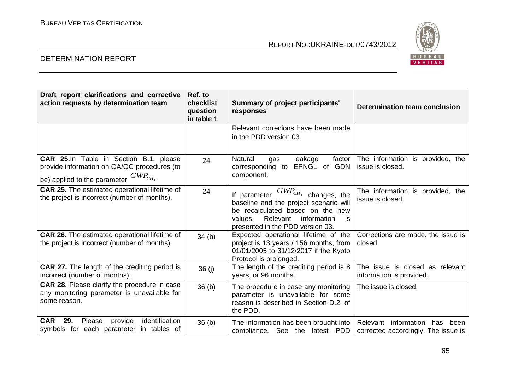

| Draft report clarifications and corrective<br>action requests by determination team                                                  | Ref. to<br>checklist<br>question<br>in table 1 | <b>Summary of project participants'</b><br>responses                                                                                                                                                    | Determination team conclusion                                           |
|--------------------------------------------------------------------------------------------------------------------------------------|------------------------------------------------|---------------------------------------------------------------------------------------------------------------------------------------------------------------------------------------------------------|-------------------------------------------------------------------------|
|                                                                                                                                      |                                                | Relevant correcions have been made<br>in the PDD version 03.                                                                                                                                            |                                                                         |
| CAR 25.In Table in Section B.1, please<br>provide information on QA/QC procedures (to<br>be) applied to the parameter $GWP_{CH_4}$ . | 24                                             | Natural<br>leakage<br>factor<br>gas<br>EPNGL of GDN<br>corresponding to<br>component.                                                                                                                   | The information is provided, the<br>issue is closed.                    |
| <b>CAR 25.</b> The estimated operational lifetime of<br>the project is incorrect (number of months).                                 | 24                                             | $GWP_{CH_4}$ changes, the<br>If parameter<br>baseline and the project scenario will<br>be recalculated based on the new<br>Relevant<br>information<br>values.<br>is<br>presented in the PDD version 03. | The information is provided, the<br>issue is closed.                    |
| <b>CAR 26.</b> The estimated operational lifetime of<br>the project is incorrect (number of months).                                 | 34(b)                                          | Expected operational lifetime of the<br>project is 13 years / 156 months, from<br>01/01/2005 to 31/12/2017 if the Kyoto<br>Protocol is prolonged.                                                       | Corrections are made, the issue is<br>closed.                           |
| <b>CAR 27.</b> The length of the crediting period is<br>incorrect (number of months).                                                | 36 (j)                                         | The length of the crediting period is 8<br>years, or 96 months.                                                                                                                                         | The issue is closed as relevant<br>information is provided.             |
| CAR 28. Please clarify the procedure in case<br>any monitoring parameter is unavailable for<br>some reason.                          | 36 <sub>(b)</sub>                              | The procedure in case any monitoring<br>parameter is unavailable for some<br>reason is described in Section D.2. of<br>the PDD.                                                                         | The issue is closed.                                                    |
| <b>CAR</b><br>29.<br>identification<br>provide<br>Please<br>symbols for each parameter in tables of                                  | 36 <sub>(b)</sub>                              | The information has been brought into<br>compliance. See the latest PDD                                                                                                                                 | Relevant information has<br>been<br>corrected accordingly. The issue is |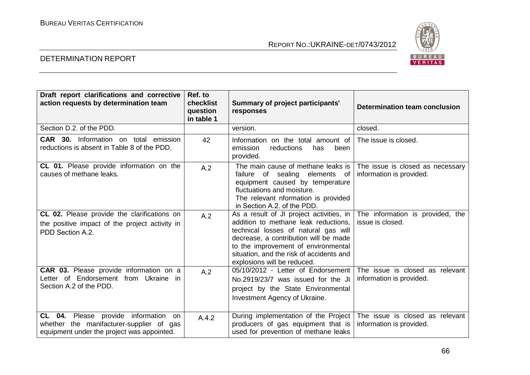

| Draft report clarifications and corrective<br>action requests by determination team                                                      | Ref. to<br>checklist<br>question<br>in table 1 | Summary of project participants'<br>responses                                                                                                                                                                                                                                       | Determination team conclusion                                |
|------------------------------------------------------------------------------------------------------------------------------------------|------------------------------------------------|-------------------------------------------------------------------------------------------------------------------------------------------------------------------------------------------------------------------------------------------------------------------------------------|--------------------------------------------------------------|
| Section D.2. of the PDD.                                                                                                                 |                                                | version.                                                                                                                                                                                                                                                                            | closed.                                                      |
| <b>CAR 30.</b> Information on total emission<br>reductions is absent in Table 8 of the PDD.                                              | 42                                             | Information on the total amount of<br>emission<br>reductions<br>been<br>has<br>provided.                                                                                                                                                                                            | The issue is closed.                                         |
| CL 01. Please provide information on the<br>causes of methane leaks.                                                                     | A.2                                            | The main cause of methane leaks is<br>failure of sealing elements of<br>equipment caused by temperature<br>fluctuations and moisture.<br>The relevant nformation is provided<br>in Section A.2. of the PDD.                                                                         | The issue is closed as necessary<br>information is provided. |
| CL 02. Please provide the clarifications on<br>the positive impact of the project activity in<br>PDD Section A.2.                        | A.2                                            | As a result of JI project activities, in<br>addition to methane leak reductions,<br>technical losses of natural gas will<br>decrease, a contribution will be made<br>to the improvement of environmental<br>situation, and the risk of accidents and<br>explosions will be reduced. | The information is provided, the<br>issue is closed.         |
| <b>CAR 03.</b> Please provide information on a<br>Letter of Endorsement from Ukraine in<br>Section A.2 of the PDD.                       | A.2                                            | 05/10/2012 - Letter of Endorsement<br>No.2919/23/7 was issued for the JI<br>project by the State Environmental<br>Investment Agency of Ukraine.                                                                                                                                     | The issue is closed as relevant<br>information is provided.  |
| <b>CL 04.</b> Please provide information<br>on<br>whether the manifacturer-supplier of gas<br>equipment under the project was appointed. | A.4.2                                          | During implementation of the Project<br>producers of gas equipment that is<br>used for prevention of methane leaks                                                                                                                                                                  | The issue is closed as relevant<br>information is provided.  |